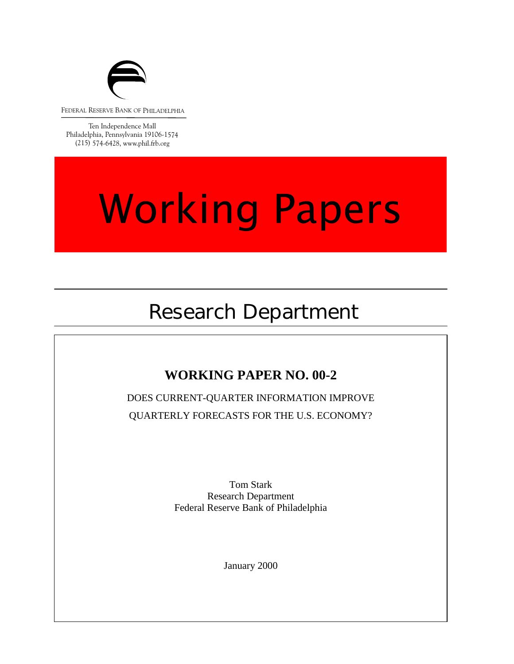

FEDERAL RESERVE BANK OF PHILADELPHIA

Ten Independence Mall Philadelphia, Pennsylvania 19106-1574 (215) 574-6428, www.phil.frb.org

### **Working Papers**

### Research Department

### **WORKING PAPER NO. 00-2**

DOES CURRENT-QUARTER INFORMATION IMPROVE QUARTERLY FORECASTS FOR THE U.S. ECONOMY?

> Tom Stark Research Department Federal Reserve Bank of Philadelphia

> > January 2000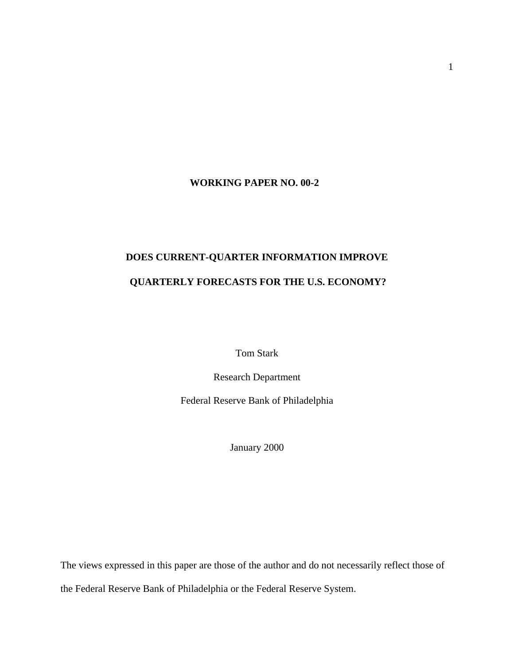### **WORKING PAPER NO. 00-2**

### **DOES CURRENT-QUARTER INFORMATION IMPROVE QUARTERLY FORECASTS FOR THE U.S. ECONOMY?**

Tom Stark

Research Department

Federal Reserve Bank of Philadelphia

January 2000

The views expressed in this paper are those of the author and do not necessarily reflect those of the Federal Reserve Bank of Philadelphia or the Federal Reserve System.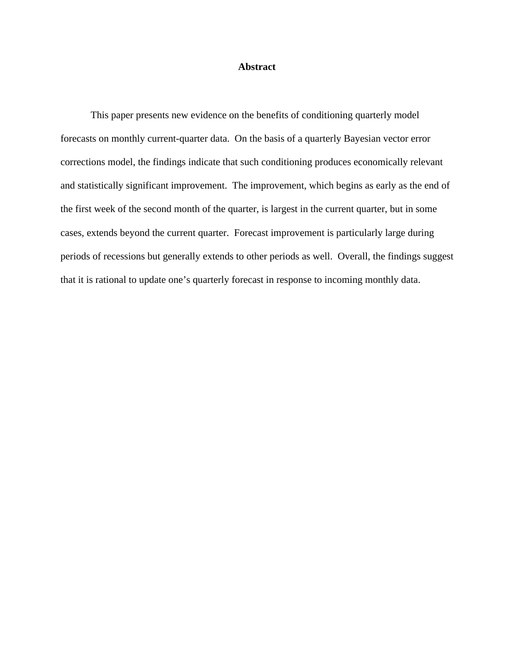### **Abstract**

This paper presents new evidence on the benefits of conditioning quarterly model forecasts on monthly current-quarter data. On the basis of a quarterly Bayesian vector error corrections model, the findings indicate that such conditioning produces economically relevant and statistically significant improvement. The improvement, which begins as early as the end of the first week of the second month of the quarter, is largest in the current quarter, but in some cases, extends beyond the current quarter. Forecast improvement is particularly large during periods of recessions but generally extends to other periods as well. Overall, the findings suggest that it is rational to update one's quarterly forecast in response to incoming monthly data.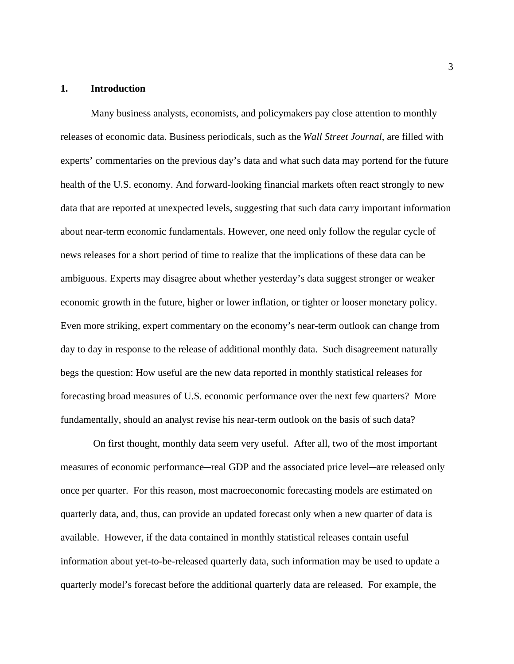### **1. Introduction**

Many business analysts, economists, and policymakers pay close attention to monthly releases of economic data. Business periodicals, such as the *Wall Street Journal*, are filled with experts' commentaries on the previous day's data and what such data may portend for the future health of the U.S. economy. And forward-looking financial markets often react strongly to new data that are reported at unexpected levels, suggesting that such data carry important information about near-term economic fundamentals. However, one need only follow the regular cycle of news releases for a short period of time to realize that the implications of these data can be ambiguous. Experts may disagree about whether yesterday's data suggest stronger or weaker economic growth in the future, higher or lower inflation, or tighter or looser monetary policy. Even more striking, expert commentary on the economy's near-term outlook can change from day to day in response to the release of additional monthly data. Such disagreement naturally begs the question: How useful are the new data reported in monthly statistical releases for forecasting broad measures of U.S. economic performance over the next few quarters? More fundamentally, should an analyst revise his near-term outlook on the basis of such data?

 On first thought, monthly data seem very useful. After all, two of the most important measures of economic performance—real GDP and the associated price level—are released only once per quarter. For this reason, most macroeconomic forecasting models are estimated on quarterly data, and, thus, can provide an updated forecast only when a new quarter of data is available. However, if the data contained in monthly statistical releases contain useful information about yet-to-be-released quarterly data, such information may be used to update a quarterly model's forecast before the additional quarterly data are released. For example, the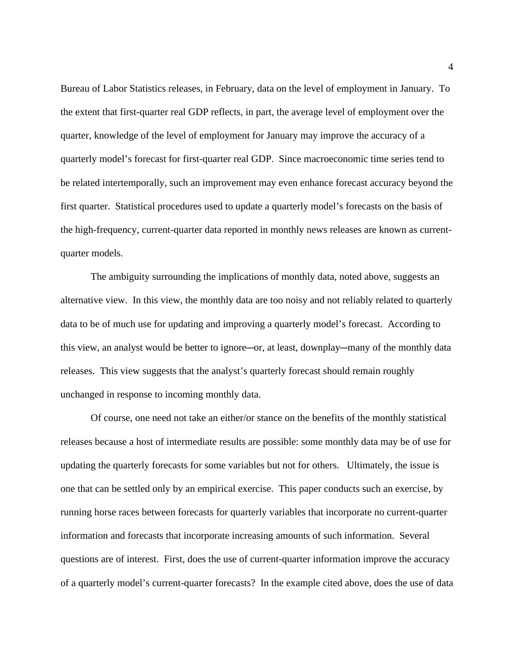Bureau of Labor Statistics releases, in February, data on the level of employment in January. To the extent that first-quarter real GDP reflects, in part, the average level of employment over the quarter, knowledge of the level of employment for January may improve the accuracy of a quarterly model's forecast for first-quarter real GDP. Since macroeconomic time series tend to be related intertemporally, such an improvement may even enhance forecast accuracy beyond the first quarter. Statistical procedures used to update a quarterly model's forecasts on the basis of the high-frequency, current-quarter data reported in monthly news releases are known as currentquarter models.

The ambiguity surrounding the implications of monthly data, noted above, suggests an alternative view. In this view, the monthly data are too noisy and not reliably related to quarterly data to be of much use for updating and improving a quarterly model's forecast. According to this view, an analyst would be better to ignore—or, at least, downplay—many of the monthly data releases. This view suggests that the analyst's quarterly forecast should remain roughly unchanged in response to incoming monthly data.

Of course, one need not take an either/or stance on the benefits of the monthly statistical releases because a host of intermediate results are possible: some monthly data may be of use for updating the quarterly forecasts for some variables but not for others. Ultimately, the issue is one that can be settled only by an empirical exercise. This paper conducts such an exercise, by running horse races between forecasts for quarterly variables that incorporate no current-quarter information and forecasts that incorporate increasing amounts of such information. Several questions are of interest. First, does the use of current-quarter information improve the accuracy of a quarterly model's current-quarter forecasts? In the example cited above, does the use of data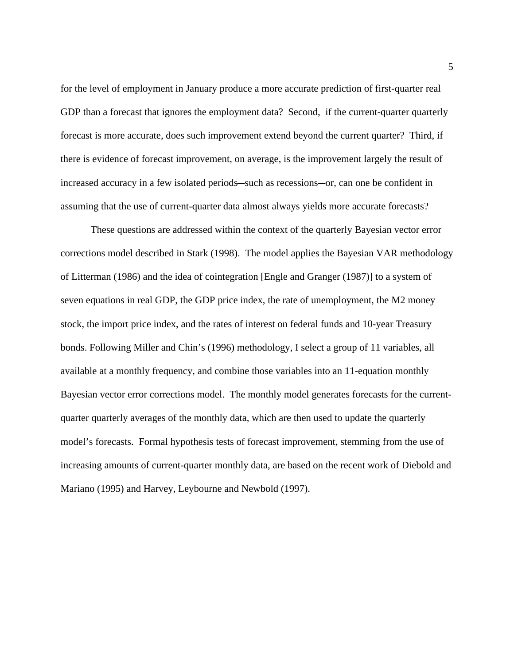for the level of employment in January produce a more accurate prediction of first-quarter real GDP than a forecast that ignores the employment data? Second, if the current-quarter quarterly forecast is more accurate, does such improvement extend beyond the current quarter? Third, if there is evidence of forecast improvement, on average, is the improvement largely the result of increased accuracy in a few isolated periods—such as recessions—or, can one be confident in assuming that the use of current-quarter data almost always yields more accurate forecasts?

These questions are addressed within the context of the quarterly Bayesian vector error corrections model described in Stark (1998). The model applies the Bayesian VAR methodology of Litterman (1986) and the idea of cointegration [Engle and Granger (1987)] to a system of seven equations in real GDP, the GDP price index, the rate of unemployment, the M2 money stock, the import price index, and the rates of interest on federal funds and 10-year Treasury bonds. Following Miller and Chin's (1996) methodology, I select a group of 11 variables, all available at a monthly frequency, and combine those variables into an 11-equation monthly Bayesian vector error corrections model. The monthly model generates forecasts for the currentquarter quarterly averages of the monthly data, which are then used to update the quarterly model's forecasts. Formal hypothesis tests of forecast improvement, stemming from the use of increasing amounts of current-quarter monthly data, are based on the recent work of Diebold and Mariano (1995) and Harvey, Leybourne and Newbold (1997).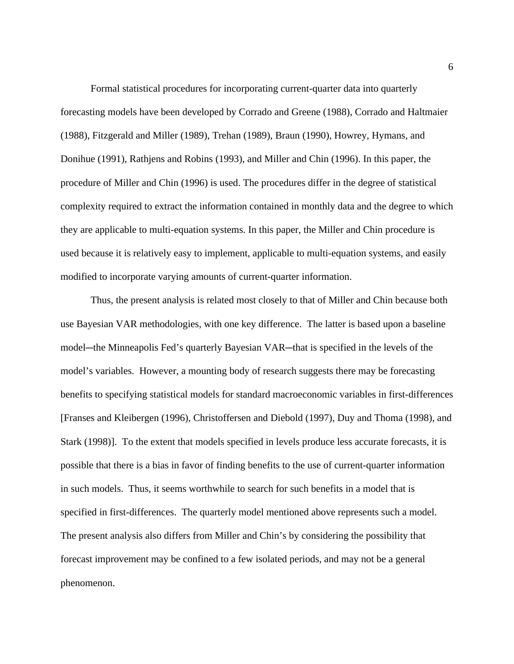Formal statistical procedures for incorporating current-quarter data into quarterly forecasting models have been developed by Corrado and Greene (1988), Corrado and Haltmaier (1988), Fitzgerald and Miller (1989), Trehan (1989), Braun (1990), Howrey, Hymans, and Donihue (1991), Rathjens and Robins (1993), and Miller and Chin (1996). In this paper, the procedure of Miller and Chin (1996) is used. The procedures differ in the degree of statistical complexity required to extract the information contained in monthly data and the degree to which they are applicable to multi-equation systems. In this paper, the Miller and Chin procedure is used because it is relatively easy to implement, applicable to multi-equation systems, and easily modified to incorporate varying amounts of current-quarter information.

Thus, the present analysis is related most closely to that of Miller and Chin because both use Bayesian VAR methodologies, with one key difference. The latter is based upon a baseline model—the Minneapolis Fed's quarterly Bayesian VAR—that is specified in the levels of the model's variables. However, a mounting body of research suggests there may be forecasting benefits to specifying statistical models for standard macroeconomic variables in first-differences [Franses and Kleibergen (1996), Christoffersen and Diebold (1997), Duy and Thoma (1998), and Stark (1998)]. To the extent that models specified in levels produce less accurate forecasts, it is possible that there is a bias in favor of finding benefits to the use of current-quarter information in such models. Thus, it seems worthwhile to search for such benefits in a model that is specified in first-differences. The quarterly model mentioned above represents such a model. The present analysis also differs from Miller and Chin's by considering the possibility that forecast improvement may be confined to a few isolated periods, and may not be a general phenomenon.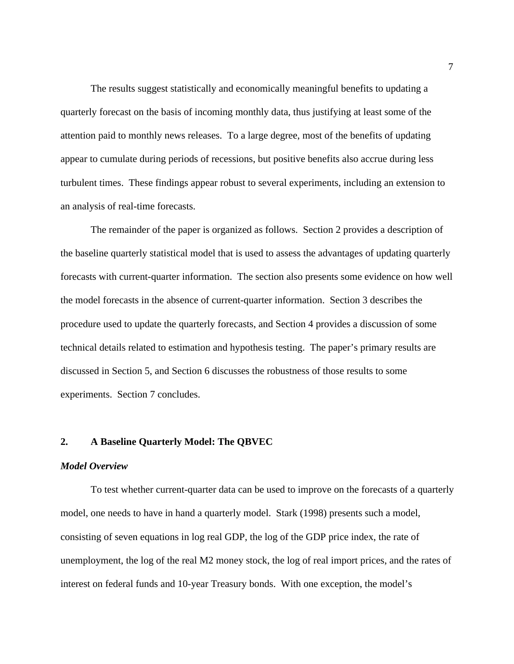The results suggest statistically and economically meaningful benefits to updating a quarterly forecast on the basis of incoming monthly data, thus justifying at least some of the attention paid to monthly news releases. To a large degree, most of the benefits of updating appear to cumulate during periods of recessions, but positive benefits also accrue during less turbulent times. These findings appear robust to several experiments, including an extension to an analysis of real-time forecasts.

The remainder of the paper is organized as follows. Section 2 provides a description of the baseline quarterly statistical model that is used to assess the advantages of updating quarterly forecasts with current-quarter information. The section also presents some evidence on how well the model forecasts in the absence of current-quarter information. Section 3 describes the procedure used to update the quarterly forecasts, and Section 4 provides a discussion of some technical details related to estimation and hypothesis testing. The paper's primary results are discussed in Section 5, and Section 6 discusses the robustness of those results to some experiments. Section 7 concludes.

### **2. A Baseline Quarterly Model: The QBVEC**

### *Model Overview*

To test whether current-quarter data can be used to improve on the forecasts of a quarterly model, one needs to have in hand a quarterly model. Stark (1998) presents such a model, consisting of seven equations in log real GDP, the log of the GDP price index, the rate of unemployment, the log of the real M2 money stock, the log of real import prices, and the rates of interest on federal funds and 10-year Treasury bonds. With one exception, the model's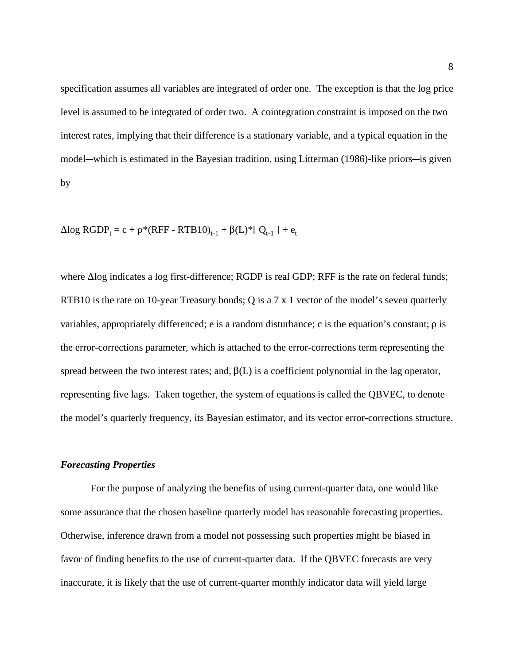specification assumes all variables are integrated of order one. The exception is that the log price level is assumed to be integrated of order two. A cointegration constraint is imposed on the two interest rates, implying that their difference is a stationary variable, and a typical equation in the model—which is estimated in the Bayesian tradition, using Litterman (1986)-like priors—is given by

Δlog RGDP<sub>t</sub> = c + ρ\*(RFF - RTB10)<sub>t-1</sub> + β(L)\*[ Q<sub>t-1</sub> ] + e<sub>t</sub>

where  $\Delta$ log indicates a log first-difference; RGDP is real GDP; RFF is the rate on federal funds; RTB10 is the rate on 10-year Treasury bonds; Q is a 7 x 1 vector of the model's seven quarterly variables, appropriately differenced;  $e$  is a random disturbance;  $c$  is the equation's constant;  $\rho$  is the error-corrections parameter, which is attached to the error-corrections term representing the spread between the two interest rates; and,  $\beta(L)$  is a coefficient polynomial in the lag operator, representing five lags. Taken together, the system of equations is called the QBVEC, to denote the model's quarterly frequency, its Bayesian estimator, and its vector error-corrections structure.

### *Forecasting Properties*

For the purpose of analyzing the benefits of using current-quarter data, one would like some assurance that the chosen baseline quarterly model has reasonable forecasting properties. Otherwise, inference drawn from a model not possessing such properties might be biased in favor of finding benefits to the use of current-quarter data. If the QBVEC forecasts are very inaccurate, it is likely that the use of current-quarter monthly indicator data will yield large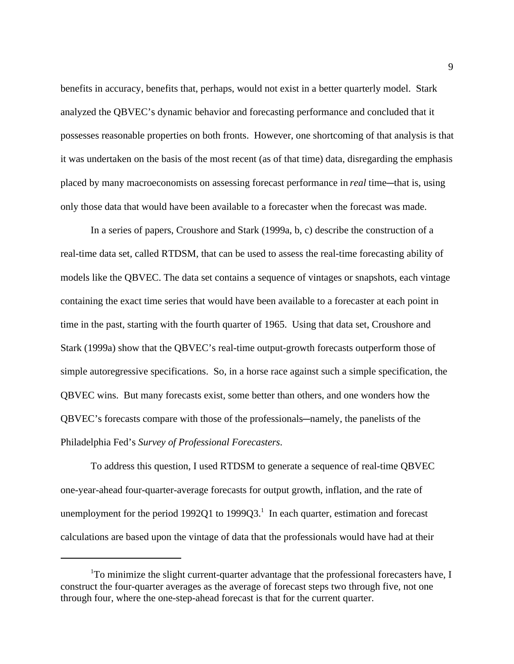benefits in accuracy, benefits that, perhaps, would not exist in a better quarterly model. Stark analyzed the QBVEC's dynamic behavior and forecasting performance and concluded that it possesses reasonable properties on both fronts. However, one shortcoming of that analysis is that it was undertaken on the basis of the most recent (as of that time) data, disregarding the emphasis placed by many macroeconomists on assessing forecast performance in *real* time—that is, using only those data that would have been available to a forecaster when the forecast was made.

In a series of papers, Croushore and Stark (1999a, b, c) describe the construction of a real-time data set, called RTDSM, that can be used to assess the real-time forecasting ability of models like the QBVEC. The data set contains a sequence of vintages or snapshots, each vintage containing the exact time series that would have been available to a forecaster at each point in time in the past, starting with the fourth quarter of 1965. Using that data set, Croushore and Stark (1999a) show that the QBVEC's real-time output-growth forecasts outperform those of simple autoregressive specifications. So, in a horse race against such a simple specification, the QBVEC wins. But many forecasts exist, some better than others, and one wonders how the QBVEC's forecasts compare with those of the professionals—namely, the panelists of the Philadelphia Fed's *Survey of Professional Forecasters*.

To address this question, I used RTDSM to generate a sequence of real-time QBVEC one-year-ahead four-quarter-average forecasts for output growth, inflation, and the rate of unemployment for the period 1992Q1 to 1999Q3.<sup>1</sup> In each quarter, estimation and forecast calculations are based upon the vintage of data that the professionals would have had at their

<sup>&</sup>lt;sup>1</sup>To minimize the slight current-quarter advantage that the professional forecasters have, I construct the four-quarter averages as the average of forecast steps two through five, not one through four, where the one-step-ahead forecast is that for the current quarter.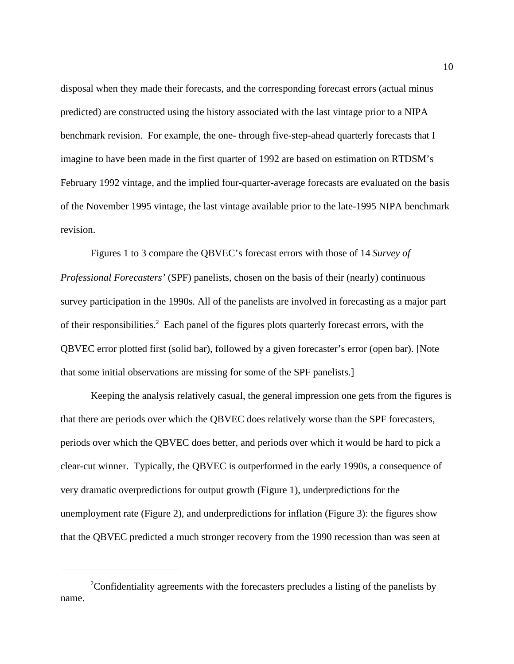disposal when they made their forecasts, and the corresponding forecast errors (actual minus predicted) are constructed using the history associated with the last vintage prior to a NIPA benchmark revision. For example, the one- through five-step-ahead quarterly forecasts that I imagine to have been made in the first quarter of 1992 are based on estimation on RTDSM's February 1992 vintage, and the implied four-quarter-average forecasts are evaluated on the basis of the November 1995 vintage, the last vintage available prior to the late-1995 NIPA benchmark revision.

Figures 1 to 3 compare the QBVEC's forecast errors with those of 14 *Survey of Professional Forecasters'* (SPF) panelists, chosen on the basis of their (nearly) continuous survey participation in the 1990s. All of the panelists are involved in forecasting as a major part of their responsibilities.<sup>2</sup> Each panel of the figures plots quarterly forecast errors, with the QBVEC error plotted first (solid bar), followed by a given forecaster's error (open bar). [Note that some initial observations are missing for some of the SPF panelists.]

Keeping the analysis relatively casual, the general impression one gets from the figures is that there are periods over which the QBVEC does relatively worse than the SPF forecasters, periods over which the QBVEC does better, and periods over which it would be hard to pick a clear-cut winner. Typically, the QBVEC is outperformed in the early 1990s, a consequence of very dramatic overpredictions for output growth (Figure 1), underpredictions for the unemployment rate (Figure 2), and underpredictions for inflation (Figure 3): the figures show that the QBVEC predicted a much stronger recovery from the 1990 recession than was seen at

 $2^2$ Confidentiality agreements with the forecasters precludes a listing of the panelists by name.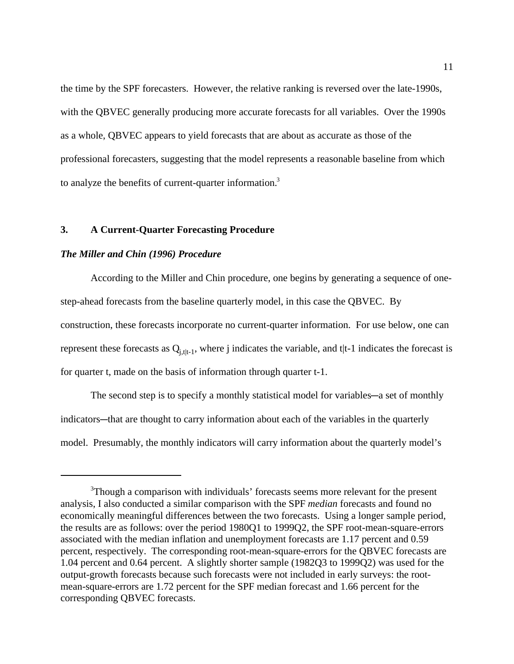the time by the SPF forecasters. However, the relative ranking is reversed over the late-1990s, with the QBVEC generally producing more accurate forecasts for all variables. Over the 1990s as a whole, QBVEC appears to yield forecasts that are about as accurate as those of the professional forecasters, suggesting that the model represents a reasonable baseline from which to analyze the benefits of current-quarter information.3

### **3. A Current-Quarter Forecasting Procedure**

### *The Miller and Chin (1996) Procedure*

According to the Miller and Chin procedure, one begins by generating a sequence of onestep-ahead forecasts from the baseline quarterly model, in this case the QBVEC. By construction, these forecasts incorporate no current-quarter information. For use below, one can represent these forecasts as  $Q_{i, t|t-1}$ , where j indicates the variable, and t|t-1 indicates the forecast is for quarter t, made on the basis of information through quarter t-1.

The second step is to specify a monthly statistical model for variables—a set of monthly indicators—that are thought to carry information about each of the variables in the quarterly model. Presumably, the monthly indicators will carry information about the quarterly model's

<sup>&</sup>lt;sup>3</sup>Though a comparison with individuals' forecasts seems more relevant for the present analysis, I also conducted a similar comparison with the SPF *median* forecasts and found no economically meaningful differences between the two forecasts. Using a longer sample period, the results are as follows: over the period 1980Q1 to 1999Q2, the SPF root-mean-square-errors associated with the median inflation and unemployment forecasts are 1.17 percent and 0.59 percent, respectively. The corresponding root-mean-square-errors for the QBVEC forecasts are 1.04 percent and 0.64 percent. A slightly shorter sample (1982Q3 to 1999Q2) was used for the output-growth forecasts because such forecasts were not included in early surveys: the rootmean-square-errors are 1.72 percent for the SPF median forecast and 1.66 percent for the corresponding QBVEC forecasts.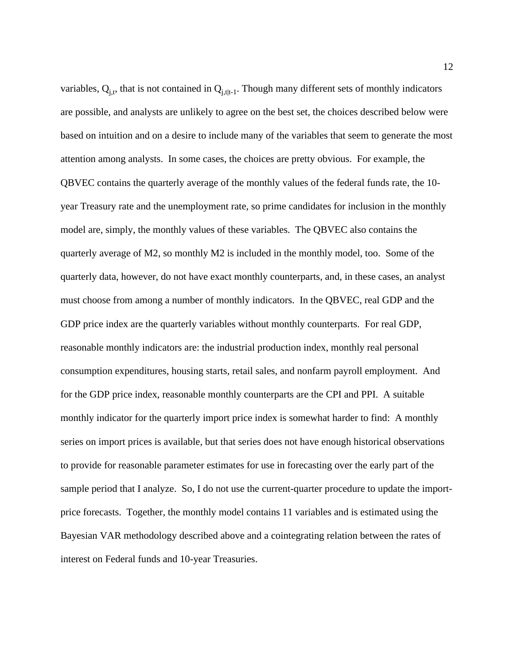variables,  $Q_{i,t}$ , that is not contained in  $Q_{i,t|t-1}$ . Though many different sets of monthly indicators are possible, and analysts are unlikely to agree on the best set, the choices described below were based on intuition and on a desire to include many of the variables that seem to generate the most attention among analysts. In some cases, the choices are pretty obvious. For example, the QBVEC contains the quarterly average of the monthly values of the federal funds rate, the 10 year Treasury rate and the unemployment rate, so prime candidates for inclusion in the monthly model are, simply, the monthly values of these variables. The QBVEC also contains the quarterly average of M2, so monthly M2 is included in the monthly model, too. Some of the quarterly data, however, do not have exact monthly counterparts, and, in these cases, an analyst must choose from among a number of monthly indicators. In the QBVEC, real GDP and the GDP price index are the quarterly variables without monthly counterparts. For real GDP, reasonable monthly indicators are: the industrial production index, monthly real personal consumption expenditures, housing starts, retail sales, and nonfarm payroll employment. And for the GDP price index, reasonable monthly counterparts are the CPI and PPI. A suitable monthly indicator for the quarterly import price index is somewhat harder to find: A monthly series on import prices is available, but that series does not have enough historical observations to provide for reasonable parameter estimates for use in forecasting over the early part of the sample period that I analyze. So, I do not use the current-quarter procedure to update the importprice forecasts. Together, the monthly model contains 11 variables and is estimated using the Bayesian VAR methodology described above and a cointegrating relation between the rates of interest on Federal funds and 10-year Treasuries.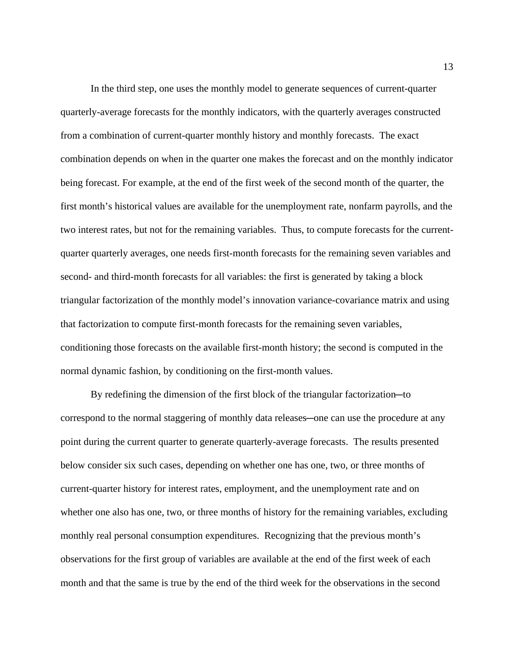In the third step, one uses the monthly model to generate sequences of current-quarter quarterly-average forecasts for the monthly indicators, with the quarterly averages constructed from a combination of current-quarter monthly history and monthly forecasts. The exact combination depends on when in the quarter one makes the forecast and on the monthly indicator being forecast. For example, at the end of the first week of the second month of the quarter, the first month's historical values are available for the unemployment rate, nonfarm payrolls, and the two interest rates, but not for the remaining variables. Thus, to compute forecasts for the currentquarter quarterly averages, one needs first-month forecasts for the remaining seven variables and second- and third-month forecasts for all variables: the first is generated by taking a block triangular factorization of the monthly model's innovation variance-covariance matrix and using that factorization to compute first-month forecasts for the remaining seven variables, conditioning those forecasts on the available first-month history; the second is computed in the normal dynamic fashion, by conditioning on the first-month values.

By redefining the dimension of the first block of the triangular factorization-to correspond to the normal staggering of monthly data releases—one can use the procedure at any point during the current quarter to generate quarterly-average forecasts. The results presented below consider six such cases, depending on whether one has one, two, or three months of current-quarter history for interest rates, employment, and the unemployment rate and on whether one also has one, two, or three months of history for the remaining variables, excluding monthly real personal consumption expenditures. Recognizing that the previous month's observations for the first group of variables are available at the end of the first week of each month and that the same is true by the end of the third week for the observations in the second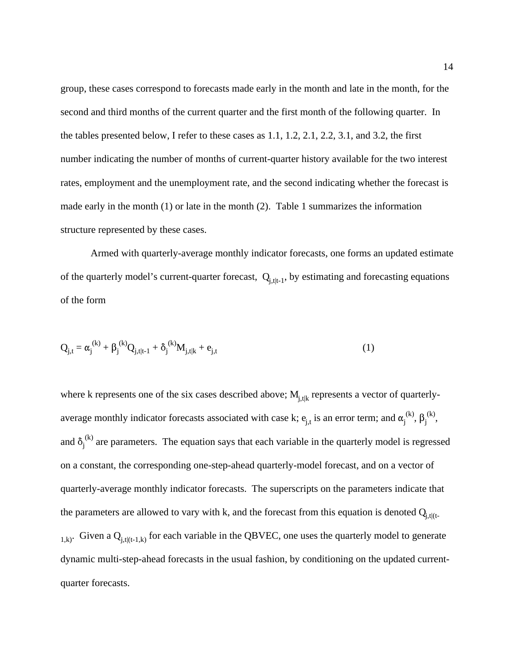group, these cases correspond to forecasts made early in the month and late in the month, for the second and third months of the current quarter and the first month of the following quarter. In the tables presented below, I refer to these cases as 1.1, 1.2, 2.1, 2.2, 3.1, and 3.2, the first number indicating the number of months of current-quarter history available for the two interest rates, employment and the unemployment rate, and the second indicating whether the forecast is made early in the month (1) or late in the month (2). Table 1 summarizes the information structure represented by these cases.

Armed with quarterly-average monthly indicator forecasts, one forms an updated estimate of the quarterly model's current-quarter forecast,  $Q_{i, t|t-1}$ , by estimating and forecasting equations of the form

$$
Q_{j,t} = \alpha_j^{(k)} + \beta_j^{(k)} Q_{j,t|t-1} + \delta_j^{(k)} M_{j,t|k} + e_{j,t}
$$
 (1)

where k represents one of the six cases described above;  $M<sub>i,tk</sub>$  represents a vector of quarterlyaverage monthly indicator forecasts associated with case k;  $e_{j,t}$  is an error term; and  $\alpha_j^{(k)}$ ,  $\beta_j^{(k)}$ , and  $\delta_j^{(k)}$  are parameters. The equation says that each variable in the quarterly model is regressed on a constant, the corresponding one-step-ahead quarterly-model forecast, and on a vector of quarterly-average monthly indicator forecasts. The superscripts on the parameters indicate that the parameters are allowed to vary with k, and the forecast from this equation is denoted  $Q_{j, t|(t-1)}$  $_{1,k}$ . Given a  $Q_{j,t|(t-1,k)}$  for each variable in the QBVEC, one uses the quarterly model to generate dynamic multi-step-ahead forecasts in the usual fashion, by conditioning on the updated currentquarter forecasts.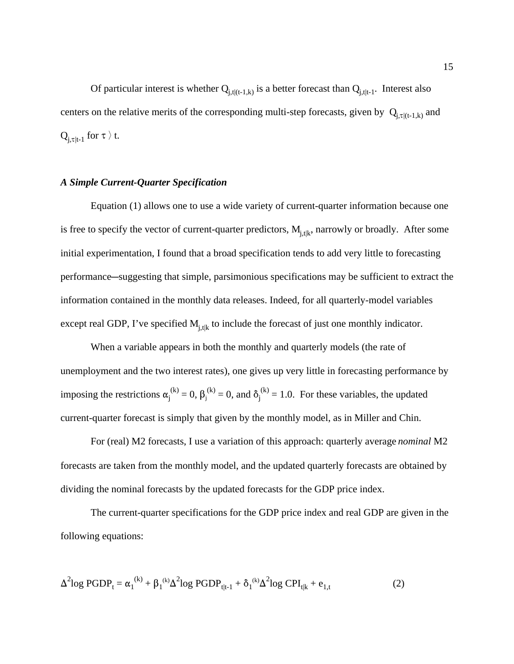Of particular interest is whether  $Q_{i,t|(t-1,k)}$  is a better forecast than  $Q_{i,t|t-1}$ . Interest also centers on the relative merits of the corresponding multi-step forecasts, given by  $Q_{j,\tau|(t-1,k)}$  and  $Q_{i,\tau|t-1}$  for  $\tau \nbrace$  t.

### *A Simple Current-Quarter Specification*

Equation (1) allows one to use a wide variety of current-quarter information because one is free to specify the vector of current-quarter predictors,  $M<sub>i,tlk</sub>$ , narrowly or broadly. After some initial experimentation, I found that a broad specification tends to add very little to forecasting performance—suggesting that simple, parsimonious specifications may be sufficient to extract the information contained in the monthly data releases. Indeed, for all quarterly-model variables except real GDP, I've specified  $M<sub>i,tlk</sub>$  to include the forecast of just one monthly indicator.

When a variable appears in both the monthly and quarterly models (the rate of unemployment and the two interest rates), one gives up very little in forecasting performance by imposing the restrictions  $\alpha_j^{(k)} = 0$ ,  $\beta_j^{(k)} = 0$ , and  $\delta_j^{(k)} = 1.0$ . For these variables, the updated current-quarter forecast is simply that given by the monthly model, as in Miller and Chin.

For (real) M2 forecasts, I use a variation of this approach: quarterly average *nominal* M2 forecasts are taken from the monthly model, and the updated quarterly forecasts are obtained by dividing the nominal forecasts by the updated forecasts for the GDP price index.

The current-quarter specifications for the GDP price index and real GDP are given in the following equations:

$$
\Delta^{2} \log PGDP_{t} = \alpha_{1}^{(k)} + \beta_{1}^{(k)} \Delta^{2} \log PGDP_{t|t-1} + \delta_{1}^{(k)} \Delta^{2} \log CPI_{t|k} + e_{1,t}
$$
 (2)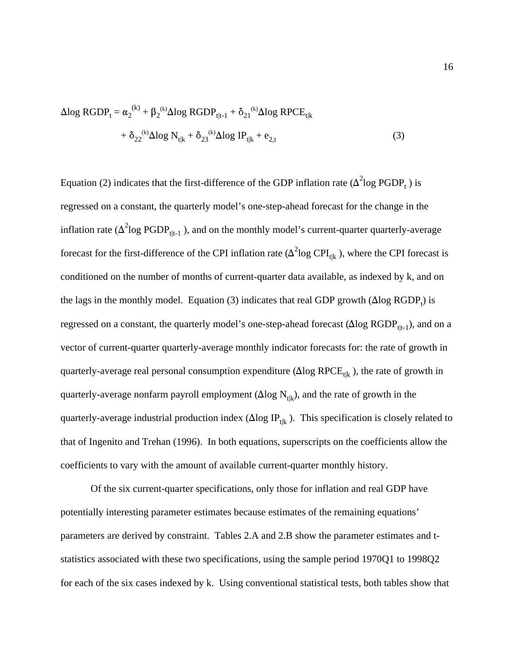$$
Δlog RGDPt = α2(k) + β2(k)Δlog RGDPt|t-1 + δ21(k)Δlog RPCEt|k + δ22(k)Δlog Nt|k + δ23(k)Δlog IPt|k + e2,t
$$
\n(3)

Equation (2) indicates that the first-difference of the GDP inflation rate ( $\Delta^2$ log PGDP<sub>t</sub>) is regressed on a constant, the quarterly model's one-step-ahead forecast for the change in the inflation rate ( $\Delta^2$ log PGDP<sub>t|t-1</sub>), and on the monthly model's current-quarter quarterly-average forecast for the first-difference of the CPI inflation rate ( $\Delta^2$ log CPI<sub>t|k</sub>), where the CPI forecast is conditioned on the number of months of current-quarter data available, as indexed by k, and on the lags in the monthly model. Equation (3) indicates that real GDP growth  $(\Delta$ log RGDP<sub>t</sub>) is regressed on a constant, the quarterly model's one-step-ahead forecast ( $\Delta$ log RGDP<sub>tlt-1</sub>), and on a vector of current-quarter quarterly-average monthly indicator forecasts for: the rate of growth in quarterly-average real personal consumption expenditure ( $\Delta$ log RPCE<sub>tlk</sub>), the rate of growth in quarterly-average nonfarm payroll employment ( $\Delta$ log  $N_{t|k}$ ), and the rate of growth in the quarterly-average industrial production index ( $\Delta$ log IP<sub>tlk</sub>). This specification is closely related to that of Ingenito and Trehan (1996). In both equations, superscripts on the coefficients allow the coefficients to vary with the amount of available current-quarter monthly history.

Of the six current-quarter specifications, only those for inflation and real GDP have potentially interesting parameter estimates because estimates of the remaining equations' parameters are derived by constraint. Tables 2.A and 2.B show the parameter estimates and tstatistics associated with these two specifications, using the sample period 1970Q1 to 1998Q2 for each of the six cases indexed by k. Using conventional statistical tests, both tables show that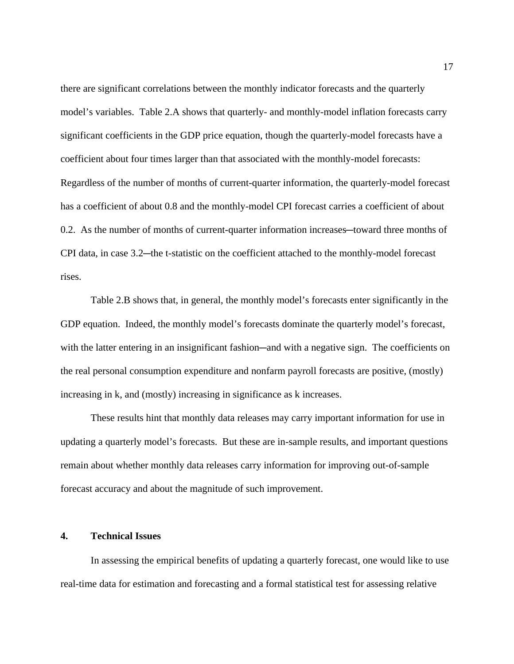there are significant correlations between the monthly indicator forecasts and the quarterly model's variables. Table 2.A shows that quarterly- and monthly-model inflation forecasts carry significant coefficients in the GDP price equation, though the quarterly-model forecasts have a coefficient about four times larger than that associated with the monthly-model forecasts: Regardless of the number of months of current-quarter information, the quarterly-model forecast has a coefficient of about 0.8 and the monthly-model CPI forecast carries a coefficient of about 0.2. As the number of months of current-quarter information increases—toward three months of CPI data, in case 3.2—the t-statistic on the coefficient attached to the monthly-model forecast rises.

Table 2.B shows that, in general, the monthly model's forecasts enter significantly in the GDP equation. Indeed, the monthly model's forecasts dominate the quarterly model's forecast, with the latter entering in an insignificant fashion—and with a negative sign. The coefficients on the real personal consumption expenditure and nonfarm payroll forecasts are positive, (mostly) increasing in k, and (mostly) increasing in significance as k increases.

These results hint that monthly data releases may carry important information for use in updating a quarterly model's forecasts. But these are in-sample results, and important questions remain about whether monthly data releases carry information for improving out-of-sample forecast accuracy and about the magnitude of such improvement.

### **4. Technical Issues**

In assessing the empirical benefits of updating a quarterly forecast, one would like to use real-time data for estimation and forecasting and a formal statistical test for assessing relative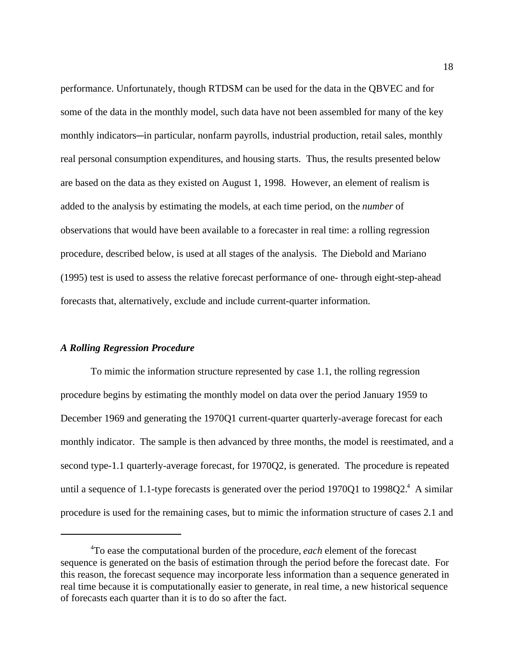performance. Unfortunately, though RTDSM can be used for the data in the QBVEC and for some of the data in the monthly model, such data have not been assembled for many of the key monthly indicators—in particular, nonfarm payrolls, industrial production, retail sales, monthly real personal consumption expenditures, and housing starts. Thus, the results presented below are based on the data as they existed on August 1, 1998. However, an element of realism is added to the analysis by estimating the models, at each time period, on the *number* of observations that would have been available to a forecaster in real time: a rolling regression procedure, described below, is used at all stages of the analysis. The Diebold and Mariano (1995) test is used to assess the relative forecast performance of one- through eight-step-ahead forecasts that, alternatively, exclude and include current-quarter information.

### *A Rolling Regression Procedure*

To mimic the information structure represented by case 1.1, the rolling regression procedure begins by estimating the monthly model on data over the period January 1959 to December 1969 and generating the 1970Q1 current-quarter quarterly-average forecast for each monthly indicator. The sample is then advanced by three months, the model is reestimated, and a second type-1.1 quarterly-average forecast, for 1970Q2, is generated. The procedure is repeated until a sequence of 1.1-type forecasts is generated over the period 1970Q1 to 1998Q2.<sup>4</sup> A similar procedure is used for the remaining cases, but to mimic the information structure of cases 2.1 and

<sup>4</sup> To ease the computational burden of the procedure, *each* element of the forecast sequence is generated on the basis of estimation through the period before the forecast date. For this reason, the forecast sequence may incorporate less information than a sequence generated in real time because it is computationally easier to generate, in real time, a new historical sequence of forecasts each quarter than it is to do so after the fact.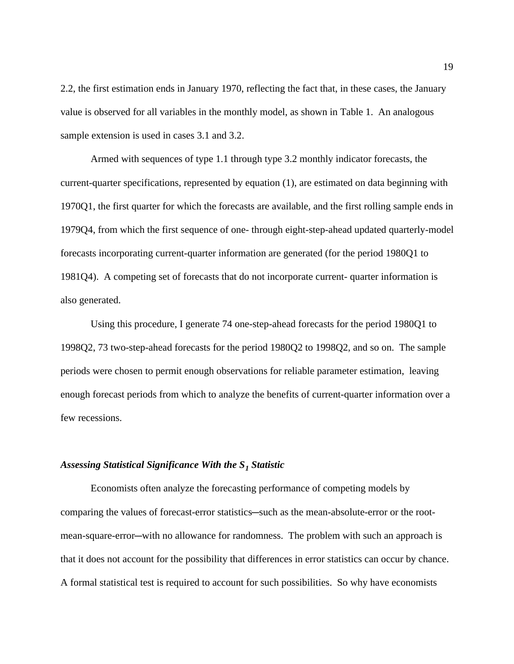2.2, the first estimation ends in January 1970, reflecting the fact that, in these cases, the January value is observed for all variables in the monthly model, as shown in Table 1. An analogous sample extension is used in cases 3.1 and 3.2.

Armed with sequences of type 1.1 through type 3.2 monthly indicator forecasts, the current-quarter specifications, represented by equation (1), are estimated on data beginning with 1970Q1, the first quarter for which the forecasts are available, and the first rolling sample ends in 1979Q4, from which the first sequence of one- through eight-step-ahead updated quarterly-model forecasts incorporating current-quarter information are generated (for the period 1980Q1 to 1981Q4). A competing set of forecasts that do not incorporate current- quarter information is also generated.

Using this procedure, I generate 74 one-step-ahead forecasts for the period 1980Q1 to 1998Q2, 73 two-step-ahead forecasts for the period 1980Q2 to 1998Q2, and so on. The sample periods were chosen to permit enough observations for reliable parameter estimation, leaving enough forecast periods from which to analyze the benefits of current-quarter information over a few recessions.

### *Assessing Statistical Significance With the S1 Statistic*

Economists often analyze the forecasting performance of competing models by comparing the values of forecast-error statistics—such as the mean-absolute-error or the rootmean-square-error-with no allowance for randomness. The problem with such an approach is that it does not account for the possibility that differences in error statistics can occur by chance. A formal statistical test is required to account for such possibilities. So why have economists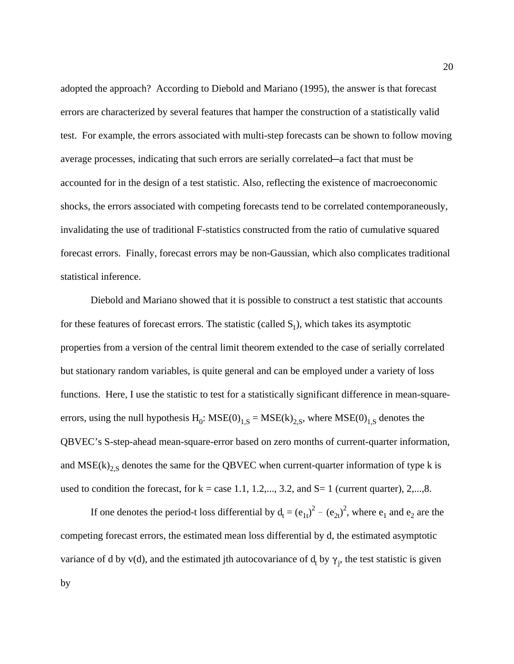adopted the approach? According to Diebold and Mariano (1995), the answer is that forecast errors are characterized by several features that hamper the construction of a statistically valid test. For example, the errors associated with multi-step forecasts can be shown to follow moving average processes, indicating that such errors are serially correlated—a fact that must be accounted for in the design of a test statistic. Also, reflecting the existence of macroeconomic shocks, the errors associated with competing forecasts tend to be correlated contemporaneously, invalidating the use of traditional F-statistics constructed from the ratio of cumulative squared forecast errors. Finally, forecast errors may be non-Gaussian, which also complicates traditional statistical inference.

Diebold and Mariano showed that it is possible to construct a test statistic that accounts for these features of forecast errors. The statistic (called  $S_1$ ), which takes its asymptotic properties from a version of the central limit theorem extended to the case of serially correlated but stationary random variables, is quite general and can be employed under a variety of loss functions. Here, I use the statistic to test for a statistically significant difference in mean-squareerrors, using the null hypothesis  $H_0$ :  $MSE(0)_{1,S} = MSE(k)_{2,S}$ , where  $MSE(0)_{1,S}$  denotes the QBVEC's S-step-ahead mean-square-error based on zero months of current-quarter information, and  $MSE(k)_{2S}$  denotes the same for the QBVEC when current-quarter information of type k is used to condition the forecast, for  $k = \text{case } 1.1, 1.2, \ldots, 3.2,$  and  $S = 1$  (current quarter), 2,...,8.

If one denotes the period-t loss differential by  $d_t = (e_{1t})^2 - (e_{2t})^2$ , where  $e_1$  and  $e_2$  are the competing forecast errors, the estimated mean loss differential by d, the estimated asymptotic variance of d by  $v(d)$ , and the estimated jth autocovariance of  $d_t$  by  $\gamma_j$ , the test statistic is given by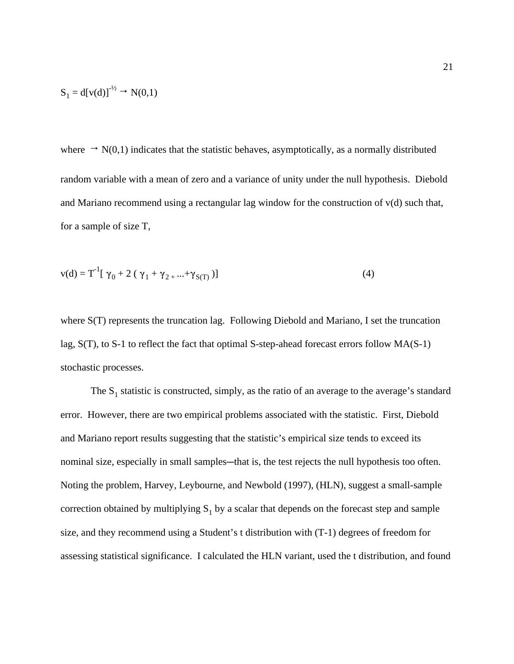$$
S_1 = d[v(d)]^{-1/2} \to N(0,1)
$$

where  $\rightarrow N(0,1)$  indicates that the statistic behaves, asymptotically, as a normally distributed random variable with a mean of zero and a variance of unity under the null hypothesis. Diebold and Mariano recommend using a rectangular lag window for the construction of v(d) such that, for a sample of size T,

$$
v(d) = T-1 [\gamma_0 + 2 (\gamma_1 + \gamma_2 + ... + \gamma_{S(T)})]
$$
 (4)

where S(T) represents the truncation lag. Following Diebold and Mariano, I set the truncation lag, S(T), to S-1 to reflect the fact that optimal S-step-ahead forecast errors follow MA(S-1) stochastic processes.

The  $S_1$  statistic is constructed, simply, as the ratio of an average to the average's standard error. However, there are two empirical problems associated with the statistic. First, Diebold and Mariano report results suggesting that the statistic's empirical size tends to exceed its nominal size, especially in small samples—that is, the test rejects the null hypothesis too often. Noting the problem, Harvey, Leybourne, and Newbold (1997), (HLN), suggest a small-sample correction obtained by multiplying  $S_1$  by a scalar that depends on the forecast step and sample size, and they recommend using a Student's t distribution with (T-1) degrees of freedom for assessing statistical significance. I calculated the HLN variant, used the t distribution, and found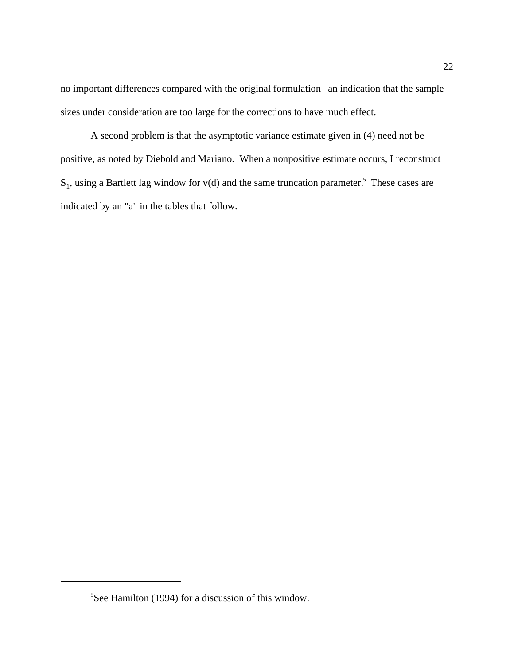no important differences compared with the original formulation—an indication that the sample sizes under consideration are too large for the corrections to have much effect.

A second problem is that the asymptotic variance estimate given in (4) need not be positive, as noted by Diebold and Mariano. When a nonpositive estimate occurs, I reconstruct  $S_1$ , using a Bartlett lag window for v(d) and the same truncation parameter.<sup>5</sup> These cases are indicated by an "a" in the tables that follow.

<sup>5</sup> See Hamilton (1994) for a discussion of this window.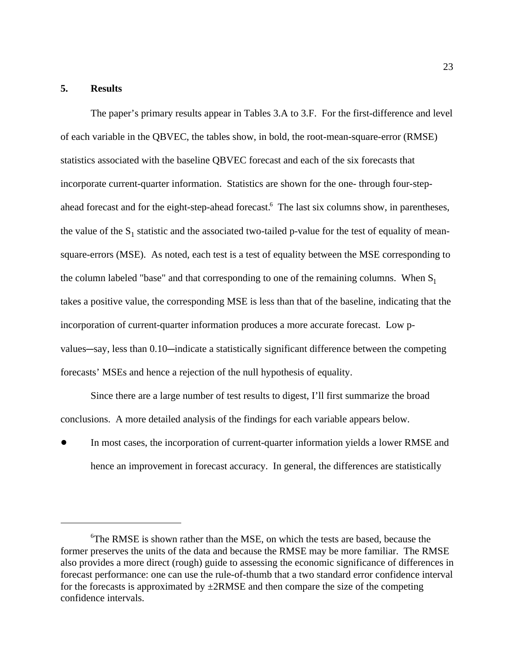### **5. Results**

The paper's primary results appear in Tables 3.A to 3.F. For the first-difference and level of each variable in the QBVEC, the tables show, in bold, the root-mean-square-error (RMSE) statistics associated with the baseline QBVEC forecast and each of the six forecasts that incorporate current-quarter information. Statistics are shown for the one- through four-stepahead forecast and for the eight-step-ahead forecast.<sup>6</sup> The last six columns show, in parentheses, the value of the  $S_1$  statistic and the associated two-tailed p-value for the test of equality of meansquare-errors (MSE). As noted, each test is a test of equality between the MSE corresponding to the column labeled "base" and that corresponding to one of the remaining columns. When  $S_1$ takes a positive value, the corresponding MSE is less than that of the baseline, indicating that the incorporation of current-quarter information produces a more accurate forecast. Low pvalues—say, less than 0.10—indicate a statistically significant difference between the competing forecasts' MSEs and hence a rejection of the null hypothesis of equality.

Since there are a large number of test results to digest, I'll first summarize the broad conclusions. A more detailed analysis of the findings for each variable appears below.

 $\bullet$  In most cases, the incorporation of current-quarter information yields a lower RMSE and hence an improvement in forecast accuracy. In general, the differences are statistically

<sup>6</sup> The RMSE is shown rather than the MSE, on which the tests are based, because the former preserves the units of the data and because the RMSE may be more familiar. The RMSE also provides a more direct (rough) guide to assessing the economic significance of differences in forecast performance: one can use the rule-of-thumb that a two standard error confidence interval for the forecasts is approximated by  $\pm$ 2RMSE and then compare the size of the competing confidence intervals.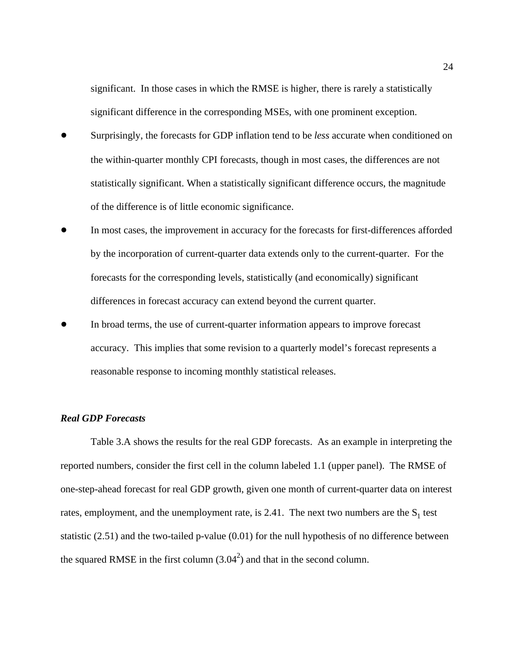significant. In those cases in which the RMSE is higher, there is rarely a statistically significant difference in the corresponding MSEs, with one prominent exception.

- $\bullet$  Surprisingly, the forecasts for GDP inflation tend to be *less* accurate when conditioned on the within-quarter monthly CPI forecasts, though in most cases, the differences are not statistically significant. When a statistically significant difference occurs, the magnitude of the difference is of little economic significance.
- $\bullet$  In most cases, the improvement in accuracy for the forecasts for first-differences afforded by the incorporation of current-quarter data extends only to the current-quarter. For the forecasts for the corresponding levels, statistically (and economically) significant differences in forecast accuracy can extend beyond the current quarter.
- $\bullet$  In broad terms, the use of current-quarter information appears to improve forecast accuracy. This implies that some revision to a quarterly model's forecast represents a reasonable response to incoming monthly statistical releases.

### *Real GDP Forecasts*

Table 3.A shows the results for the real GDP forecasts. As an example in interpreting the reported numbers, consider the first cell in the column labeled 1.1 (upper panel). The RMSE of one-step-ahead forecast for real GDP growth, given one month of current-quarter data on interest rates, employment, and the unemployment rate, is 2.41. The next two numbers are the  $S_1$  test statistic (2.51) and the two-tailed p-value (0.01) for the null hypothesis of no difference between the squared RMSE in the first column  $(3.04^2)$  and that in the second column.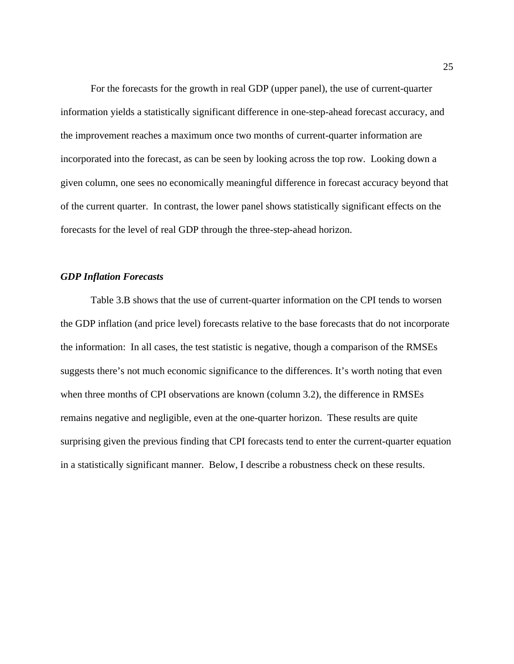For the forecasts for the growth in real GDP (upper panel), the use of current-quarter information yields a statistically significant difference in one-step-ahead forecast accuracy, and the improvement reaches a maximum once two months of current-quarter information are incorporated into the forecast, as can be seen by looking across the top row. Looking down a given column, one sees no economically meaningful difference in forecast accuracy beyond that of the current quarter. In contrast, the lower panel shows statistically significant effects on the forecasts for the level of real GDP through the three-step-ahead horizon.

### *GDP Inflation Forecasts*

Table 3.B shows that the use of current-quarter information on the CPI tends to worsen the GDP inflation (and price level) forecasts relative to the base forecasts that do not incorporate the information: In all cases, the test statistic is negative, though a comparison of the RMSEs suggests there's not much economic significance to the differences. It's worth noting that even when three months of CPI observations are known (column 3.2), the difference in RMSEs remains negative and negligible, even at the one-quarter horizon. These results are quite surprising given the previous finding that CPI forecasts tend to enter the current-quarter equation in a statistically significant manner. Below, I describe a robustness check on these results.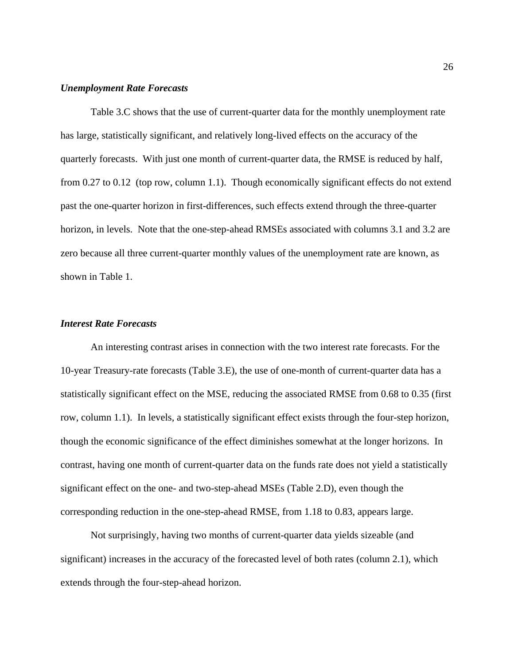### *Unemployment Rate Forecasts*

Table 3.C shows that the use of current-quarter data for the monthly unemployment rate has large, statistically significant, and relatively long-lived effects on the accuracy of the quarterly forecasts. With just one month of current-quarter data, the RMSE is reduced by half, from 0.27 to 0.12 (top row, column 1.1). Though economically significant effects do not extend past the one-quarter horizon in first-differences, such effects extend through the three-quarter horizon, in levels. Note that the one-step-ahead RMSEs associated with columns 3.1 and 3.2 are zero because all three current-quarter monthly values of the unemployment rate are known, as shown in Table 1.

### *Interest Rate Forecasts*

An interesting contrast arises in connection with the two interest rate forecasts. For the 10-year Treasury-rate forecasts (Table 3.E), the use of one-month of current-quarter data has a statistically significant effect on the MSE, reducing the associated RMSE from 0.68 to 0.35 (first row, column 1.1). In levels, a statistically significant effect exists through the four-step horizon, though the economic significance of the effect diminishes somewhat at the longer horizons. In contrast, having one month of current-quarter data on the funds rate does not yield a statistically significant effect on the one- and two-step-ahead MSEs (Table 2.D), even though the corresponding reduction in the one-step-ahead RMSE, from 1.18 to 0.83, appears large.

Not surprisingly, having two months of current-quarter data yields sizeable (and significant) increases in the accuracy of the forecasted level of both rates (column 2.1), which extends through the four-step-ahead horizon.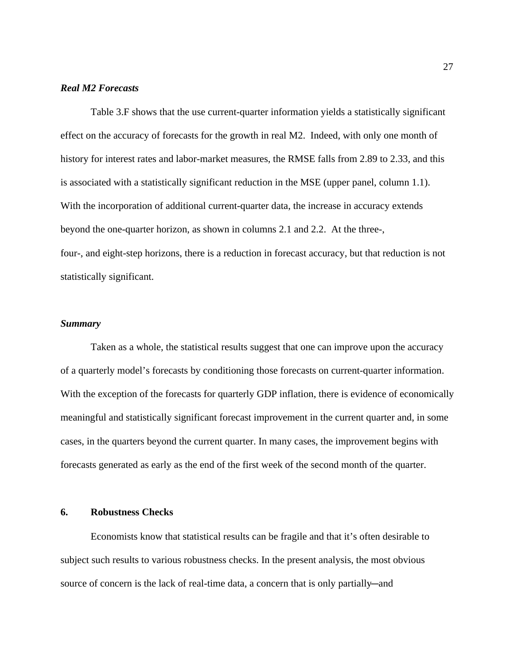### *Real M2 Forecasts*

Table 3.F shows that the use current-quarter information yields a statistically significant effect on the accuracy of forecasts for the growth in real M2. Indeed, with only one month of history for interest rates and labor-market measures, the RMSE falls from 2.89 to 2.33, and this is associated with a statistically significant reduction in the MSE (upper panel, column 1.1). With the incorporation of additional current-quarter data, the increase in accuracy extends beyond the one-quarter horizon, as shown in columns 2.1 and 2.2. At the three-, four-, and eight-step horizons, there is a reduction in forecast accuracy, but that reduction is not statistically significant.

### *Summary*

Taken as a whole, the statistical results suggest that one can improve upon the accuracy of a quarterly model's forecasts by conditioning those forecasts on current-quarter information. With the exception of the forecasts for quarterly GDP inflation, there is evidence of economically meaningful and statistically significant forecast improvement in the current quarter and, in some cases, in the quarters beyond the current quarter. In many cases, the improvement begins with forecasts generated as early as the end of the first week of the second month of the quarter.

### **6. Robustness Checks**

Economists know that statistical results can be fragile and that it's often desirable to subject such results to various robustness checks. In the present analysis, the most obvious source of concern is the lack of real-time data, a concern that is only partially—and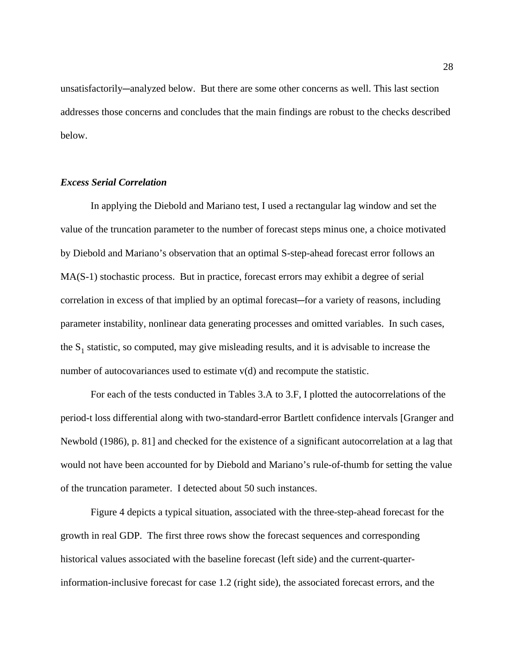unsatisfactorily—analyzed below. But there are some other concerns as well. This last section addresses those concerns and concludes that the main findings are robust to the checks described below.

### *Excess Serial Correlation*

In applying the Diebold and Mariano test, I used a rectangular lag window and set the value of the truncation parameter to the number of forecast steps minus one, a choice motivated by Diebold and Mariano's observation that an optimal S-step-ahead forecast error follows an MA(S-1) stochastic process. But in practice, forecast errors may exhibit a degree of serial correlation in excess of that implied by an optimal forecast—for a variety of reasons, including parameter instability, nonlinear data generating processes and omitted variables. In such cases, the  $S_1$  statistic, so computed, may give misleading results, and it is advisable to increase the number of autocovariances used to estimate  $v(d)$  and recompute the statistic.

For each of the tests conducted in Tables 3.A to 3.F, I plotted the autocorrelations of the period-t loss differential along with two-standard-error Bartlett confidence intervals [Granger and Newbold (1986), p. 81] and checked for the existence of a significant autocorrelation at a lag that would not have been accounted for by Diebold and Mariano's rule-of-thumb for setting the value of the truncation parameter. I detected about 50 such instances.

Figure 4 depicts a typical situation, associated with the three-step-ahead forecast for the growth in real GDP. The first three rows show the forecast sequences and corresponding historical values associated with the baseline forecast (left side) and the current-quarterinformation-inclusive forecast for case 1.2 (right side), the associated forecast errors, and the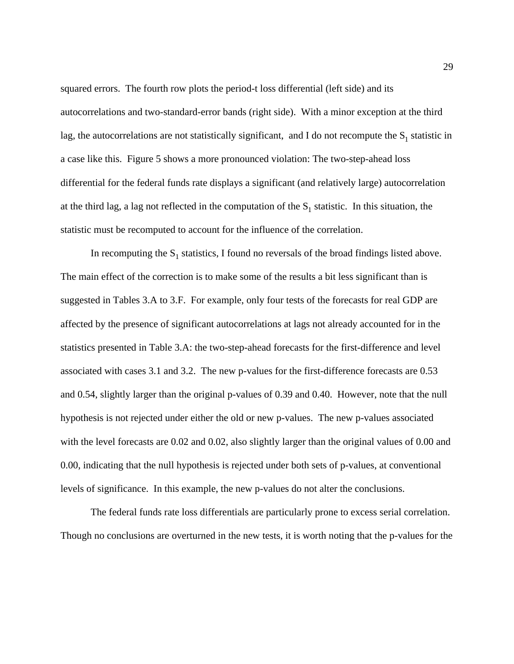squared errors. The fourth row plots the period-t loss differential (left side) and its autocorrelations and two-standard-error bands (right side). With a minor exception at the third lag, the autocorrelations are not statistically significant, and I do not recompute the  $S_1$  statistic in a case like this. Figure 5 shows a more pronounced violation: The two-step-ahead loss differential for the federal funds rate displays a significant (and relatively large) autocorrelation at the third lag, a lag not reflected in the computation of the  $S_1$  statistic. In this situation, the statistic must be recomputed to account for the influence of the correlation.

In recomputing the  $S_1$  statistics, I found no reversals of the broad findings listed above. The main effect of the correction is to make some of the results a bit less significant than is suggested in Tables 3.A to 3.F. For example, only four tests of the forecasts for real GDP are affected by the presence of significant autocorrelations at lags not already accounted for in the statistics presented in Table 3.A: the two-step-ahead forecasts for the first-difference and level associated with cases 3.1 and 3.2. The new p-values for the first-difference forecasts are 0.53 and 0.54, slightly larger than the original p-values of 0.39 and 0.40. However, note that the null hypothesis is not rejected under either the old or new p-values. The new p-values associated with the level forecasts are 0.02 and 0.02, also slightly larger than the original values of 0.00 and 0.00, indicating that the null hypothesis is rejected under both sets of p-values, at conventional levels of significance. In this example, the new p-values do not alter the conclusions.

The federal funds rate loss differentials are particularly prone to excess serial correlation. Though no conclusions are overturned in the new tests, it is worth noting that the p-values for the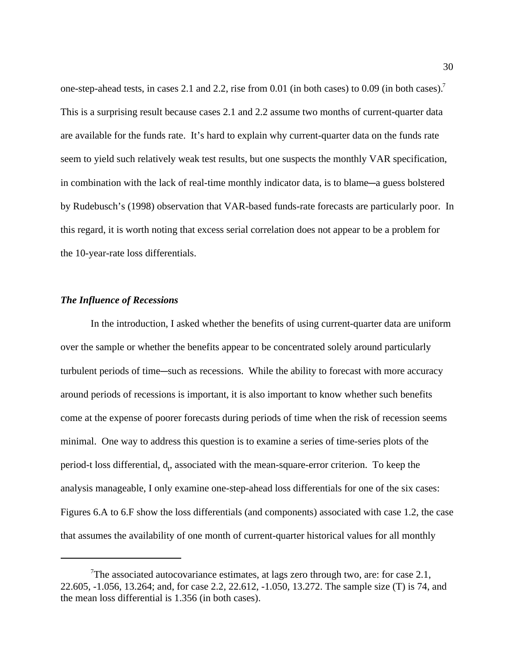one-step-ahead tests, in cases 2.1 and 2.2, rise from 0.01 (in both cases) to 0.09 (in both cases).7 This is a surprising result because cases 2.1 and 2.2 assume two months of current-quarter data are available for the funds rate. It's hard to explain why current-quarter data on the funds rate seem to yield such relatively weak test results, but one suspects the monthly VAR specification, in combination with the lack of real-time monthly indicator data, is to blame—a guess bolstered by Rudebusch's (1998) observation that VAR-based funds-rate forecasts are particularly poor. In this regard, it is worth noting that excess serial correlation does not appear to be a problem for the 10-year-rate loss differentials.

### *The Influence of Recessions*

In the introduction, I asked whether the benefits of using current-quarter data are uniform over the sample or whether the benefits appear to be concentrated solely around particularly turbulent periods of time—such as recessions. While the ability to forecast with more accuracy around periods of recessions is important, it is also important to know whether such benefits come at the expense of poorer forecasts during periods of time when the risk of recession seems minimal. One way to address this question is to examine a series of time-series plots of the period-t loss differential,  $d_t$ , associated with the mean-square-error criterion. To keep the analysis manageable, I only examine one-step-ahead loss differentials for one of the six cases: Figures 6.A to 6.F show the loss differentials (and components) associated with case 1.2, the case that assumes the availability of one month of current-quarter historical values for all monthly

<sup>&</sup>lt;sup>7</sup>The associated autocovariance estimates, at lags zero through two, are: for case 2.1, 22.605, -1.056, 13.264; and, for case 2.2, 22.612, -1.050, 13.272. The sample size (T) is 74, and the mean loss differential is 1.356 (in both cases).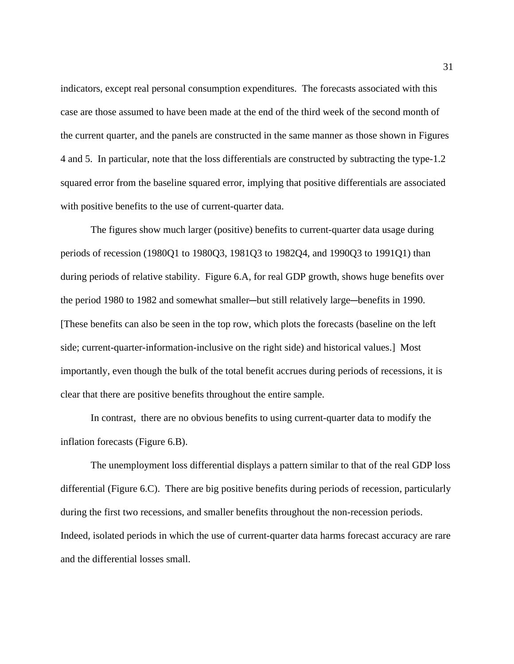indicators, except real personal consumption expenditures. The forecasts associated with this case are those assumed to have been made at the end of the third week of the second month of the current quarter, and the panels are constructed in the same manner as those shown in Figures 4 and 5. In particular, note that the loss differentials are constructed by subtracting the type-1.2 squared error from the baseline squared error, implying that positive differentials are associated with positive benefits to the use of current-quarter data.

The figures show much larger (positive) benefits to current-quarter data usage during periods of recession (1980Q1 to 1980Q3, 1981Q3 to 1982Q4, and 1990Q3 to 1991Q1) than during periods of relative stability. Figure 6.A, for real GDP growth, shows huge benefits over the period 1980 to 1982 and somewhat smaller—but still relatively large—benefits in 1990. [These benefits can also be seen in the top row, which plots the forecasts (baseline on the left side; current-quarter-information-inclusive on the right side) and historical values.] Most importantly, even though the bulk of the total benefit accrues during periods of recessions, it is clear that there are positive benefits throughout the entire sample.

In contrast, there are no obvious benefits to using current-quarter data to modify the inflation forecasts (Figure 6.B).

The unemployment loss differential displays a pattern similar to that of the real GDP loss differential (Figure 6.C). There are big positive benefits during periods of recession, particularly during the first two recessions, and smaller benefits throughout the non-recession periods. Indeed, isolated periods in which the use of current-quarter data harms forecast accuracy are rare and the differential losses small.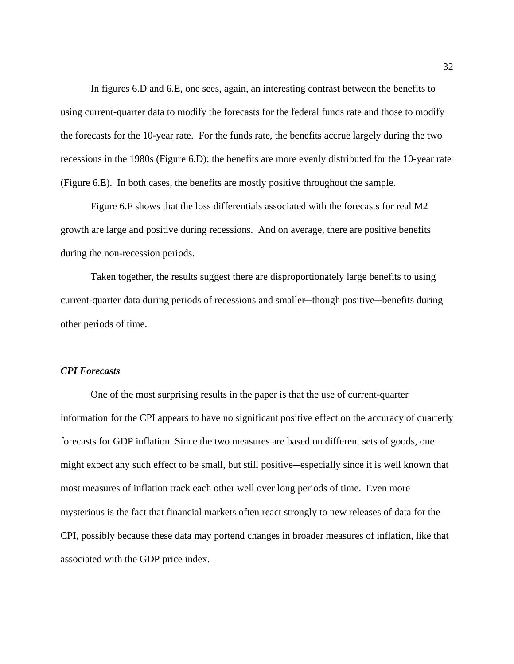In figures 6.D and 6.E, one sees, again, an interesting contrast between the benefits to using current-quarter data to modify the forecasts for the federal funds rate and those to modify the forecasts for the 10-year rate. For the funds rate, the benefits accrue largely during the two recessions in the 1980s (Figure 6.D); the benefits are more evenly distributed for the 10-year rate (Figure 6.E). In both cases, the benefits are mostly positive throughout the sample.

Figure 6.F shows that the loss differentials associated with the forecasts for real M2 growth are large and positive during recessions. And on average, there are positive benefits during the non-recession periods.

Taken together, the results suggest there are disproportionately large benefits to using current-quarter data during periods of recessions and smaller—though positive—benefits during other periods of time.

### *CPI Forecasts*

One of the most surprising results in the paper is that the use of current-quarter information for the CPI appears to have no significant positive effect on the accuracy of quarterly forecasts for GDP inflation. Since the two measures are based on different sets of goods, one might expect any such effect to be small, but still positive—especially since it is well known that most measures of inflation track each other well over long periods of time. Even more mysterious is the fact that financial markets often react strongly to new releases of data for the CPI, possibly because these data may portend changes in broader measures of inflation, like that associated with the GDP price index.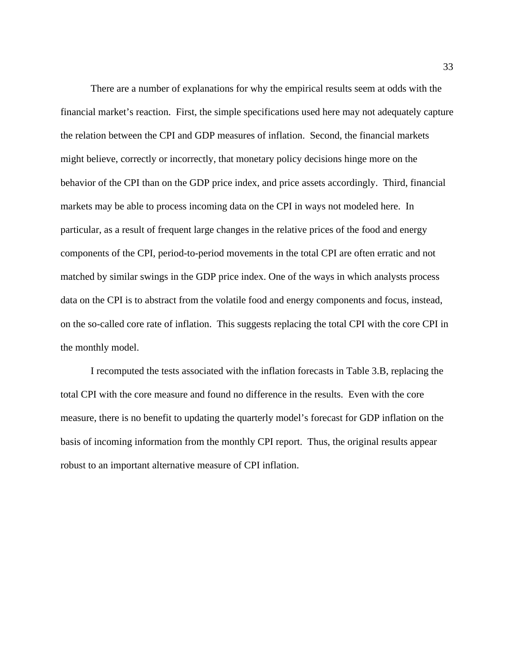There are a number of explanations for why the empirical results seem at odds with the financial market's reaction. First, the simple specifications used here may not adequately capture the relation between the CPI and GDP measures of inflation. Second, the financial markets might believe, correctly or incorrectly, that monetary policy decisions hinge more on the behavior of the CPI than on the GDP price index, and price assets accordingly. Third, financial markets may be able to process incoming data on the CPI in ways not modeled here. In particular, as a result of frequent large changes in the relative prices of the food and energy components of the CPI, period-to-period movements in the total CPI are often erratic and not matched by similar swings in the GDP price index. One of the ways in which analysts process data on the CPI is to abstract from the volatile food and energy components and focus, instead, on the so-called core rate of inflation. This suggests replacing the total CPI with the core CPI in the monthly model.

I recomputed the tests associated with the inflation forecasts in Table 3.B, replacing the total CPI with the core measure and found no difference in the results. Even with the core measure, there is no benefit to updating the quarterly model's forecast for GDP inflation on the basis of incoming information from the monthly CPI report. Thus, the original results appear robust to an important alternative measure of CPI inflation.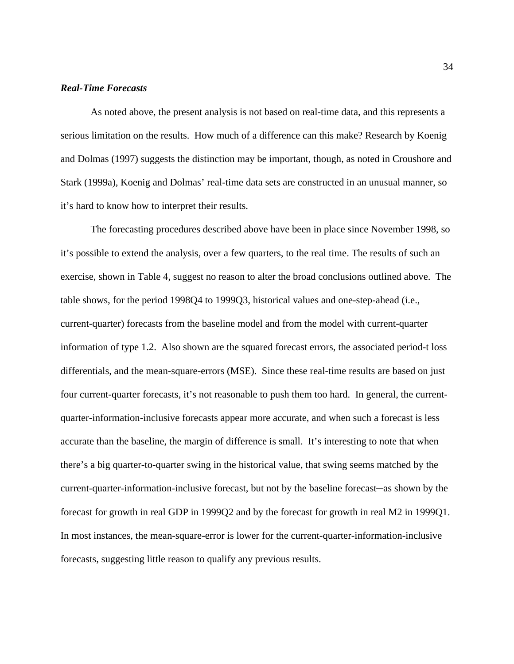### *Real-Time Forecasts*

As noted above, the present analysis is not based on real-time data, and this represents a serious limitation on the results. How much of a difference can this make? Research by Koenig and Dolmas (1997) suggests the distinction may be important, though, as noted in Croushore and Stark (1999a), Koenig and Dolmas' real-time data sets are constructed in an unusual manner, so it's hard to know how to interpret their results.

The forecasting procedures described above have been in place since November 1998, so it's possible to extend the analysis, over a few quarters, to the real time. The results of such an exercise, shown in Table 4, suggest no reason to alter the broad conclusions outlined above. The table shows, for the period 1998Q4 to 1999Q3, historical values and one-step-ahead (i.e., current-quarter) forecasts from the baseline model and from the model with current-quarter information of type 1.2. Also shown are the squared forecast errors, the associated period-t loss differentials, and the mean-square-errors (MSE). Since these real-time results are based on just four current-quarter forecasts, it's not reasonable to push them too hard. In general, the currentquarter-information-inclusive forecasts appear more accurate, and when such a forecast is less accurate than the baseline, the margin of difference is small. It's interesting to note that when there's a big quarter-to-quarter swing in the historical value, that swing seems matched by the current-quarter-information-inclusive forecast, but not by the baseline forecast—as shown by the forecast for growth in real GDP in 1999Q2 and by the forecast for growth in real M2 in 1999Q1. In most instances, the mean-square-error is lower for the current-quarter-information-inclusive forecasts, suggesting little reason to qualify any previous results.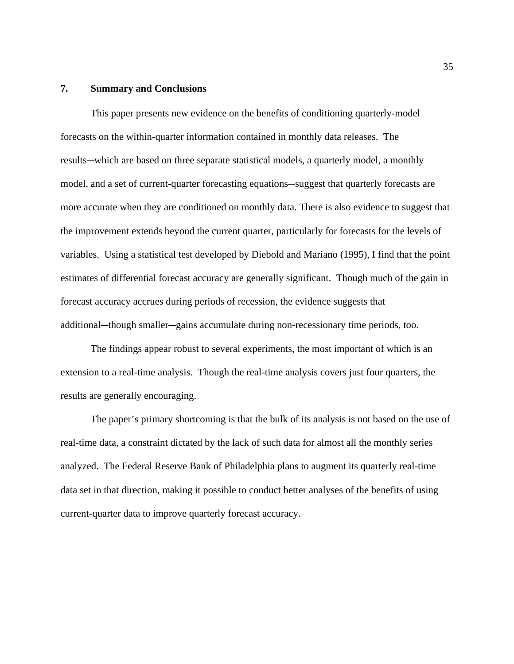### **7. Summary and Conclusions**

This paper presents new evidence on the benefits of conditioning quarterly-model forecasts on the within-quarter information contained in monthly data releases. The results—which are based on three separate statistical models, a quarterly model, a monthly model, and a set of current-quarter forecasting equations—suggest that quarterly forecasts are more accurate when they are conditioned on monthly data. There is also evidence to suggest that the improvement extends beyond the current quarter, particularly for forecasts for the levels of variables. Using a statistical test developed by Diebold and Mariano (1995), I find that the point estimates of differential forecast accuracy are generally significant. Though much of the gain in forecast accuracy accrues during periods of recession, the evidence suggests that additional—though smaller—gains accumulate during non-recessionary time periods, too.

The findings appear robust to several experiments, the most important of which is an extension to a real-time analysis. Though the real-time analysis covers just four quarters, the results are generally encouraging.

The paper's primary shortcoming is that the bulk of its analysis is not based on the use of real-time data, a constraint dictated by the lack of such data for almost all the monthly series analyzed. The Federal Reserve Bank of Philadelphia plans to augment its quarterly real-time data set in that direction, making it possible to conduct better analyses of the benefits of using current-quarter data to improve quarterly forecast accuracy.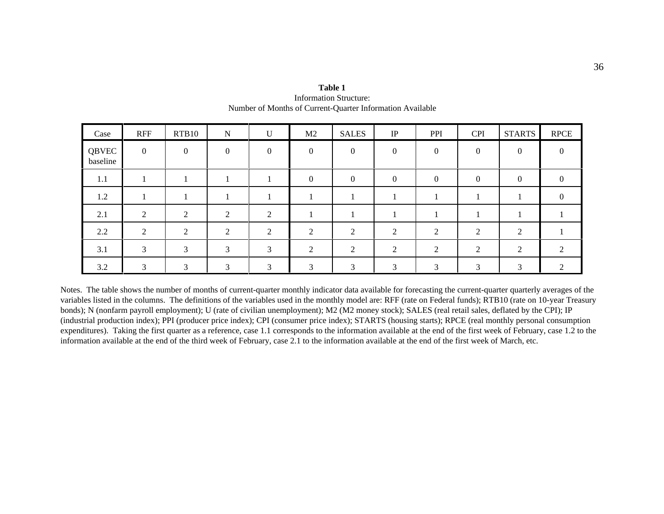| Case              | <b>RFF</b>     | RTB10         | $\mathbf N$  | $\mathbf U$  | M <sub>2</sub> | <b>SALES</b>   | IP       | PPI      | <b>CPI</b> | <b>STARTS</b>  | <b>RPCE</b> |
|-------------------|----------------|---------------|--------------|--------------|----------------|----------------|----------|----------|------------|----------------|-------------|
| QBVEC<br>baseline | $\overline{0}$ | $\mathbf{0}$  | $\theta$     | $\mathbf{0}$ | $\mathbf{0}$   | $\mathbf{0}$   | $\Omega$ | $\Omega$ | $\Omega$   | $\overline{0}$ |             |
| 1.1               |                |               |              |              | $\Omega$       | $\Omega$       |          | 0        | $\Omega$   | $\Omega$       |             |
| 1.2               |                |               |              |              |                |                |          |          |            |                |             |
| 2.1               | ◠              | $\bigcap$     | $\bigcap$    | $\gamma$     |                |                |          |          |            |                |             |
| 2.2               |                | $\bigcap$     | $\bigcap$    | 2            | $\overline{2}$ | $\mathfrak{D}$ |          |          |            | C              |             |
| 3.1               | $\mathcal{R}$  | $\mathcal{R}$ | $\mathbf{R}$ | 3            | $\mathfrak{D}$ | 2              |          |          |            | $\mathcal{D}$  |             |
| 3.2               | 3              | $\mathcal{R}$ | ⌒            | 3            | $\mathcal{L}$  | $\mathcal{R}$  |          |          |            | 3              |             |

**Table 1**Information Structure: Number of Months of Current-Quarter Information Available

Notes. The table shows the number of months of current-quarter monthly indicator data available for forecasting the current-quarter quarterly averages of the variables listed in the columns. The definitions of the variables used in the monthly model are: RFF (rate on Federal funds); RTB10 (rate on 10-year Treasury bonds); N (nonfarm payroll employment); U (rate of civilian unemployment); M2 (M2 money stock); SALES (real retail sales, deflated by the CPI); IP (industrial production index); PPI (producer price index); CPI (consumer price index); STARTS (housing starts); RPCE (real monthly personal consumption expenditures). Taking the first quarter as a reference, case 1.1 corresponds to the information available at the end of the first week of February, case 1.2 to the information available at the end of the third week of February, case 2.1 to the information available at the end of the first week of March, etc.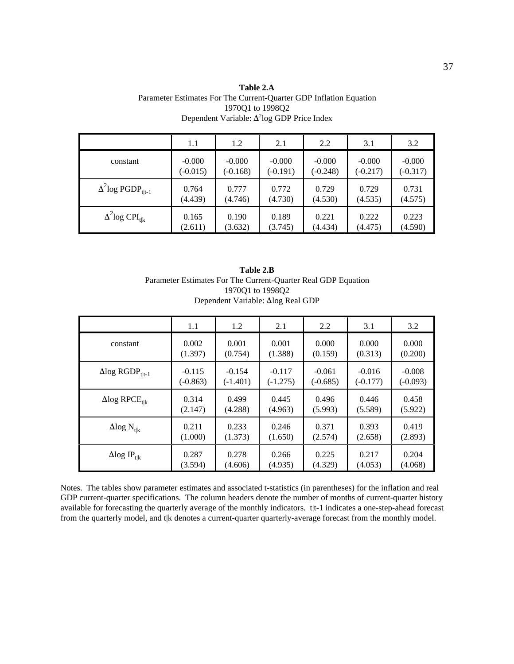| Table 2.A                                                          |
|--------------------------------------------------------------------|
| Parameter Estimates For The Current-Ouarter GDP Inflation Equation |
| 197001 to 199802                                                   |
| Dependent Variable: $\Delta^2$ log GDP Price Index                 |
|                                                                    |

|                                      | 1.1        | 1.2        | 2.1        | 2.2        | 3.1        | 3.2        |
|--------------------------------------|------------|------------|------------|------------|------------|------------|
| constant                             | $-0.000$   | $-0.000$   | $-0.000$   | $-0.000$   | $-0.000$   | $-0.000$   |
|                                      | $(-0.015)$ | $(-0.168)$ | $(-0.191)$ | $(-0.248)$ | $(-0.217)$ | $(-0.317)$ |
| $\Delta^2$ log PGDP <sub>t t-1</sub> | 0.764      | 0.777      | 0.772      | 0.729      | 0.729      | 0.731      |
|                                      | (4.439)    | (4.746)    | (4.730)    | (4.530)    | (4.535)    | (4.575)    |
| $\Delta^2$ log CPI <sub>tlk</sub>    | 0.165      | 0.190      | 0.189      | 0.221      | 0.222      | 0.223      |
|                                      | (2.611)    | (3.632)    | (3.745)    | (4.434)    | (4.475)    | (4.590)    |

| Table 2.B                                                     |
|---------------------------------------------------------------|
| Parameter Estimates For The Current-Quarter Real GDP Equation |
| 197001 to 199802                                              |
| Dependent Variable: Δlog Real GDP                             |

|                                    | 1.1        | 1.2        | 2.1        | 2.2        | 3.1        | 3.2        |
|------------------------------------|------------|------------|------------|------------|------------|------------|
| constant                           | 0.002      | 0.001      | 0.001      | 0.000      | 0.000      | 0.000      |
|                                    | (1.397)    | (0.754)    | (1.388)    | (0.159)    | (0.313)    | (0.200)    |
| $\Delta$ log RGDP <sub>t t-1</sub> | $-0.115$   | $-0.154$   | $-0.117$   | $-0.061$   | $-0.016$   | $-0.008$   |
|                                    | $(-0.863)$ | $(-1.401)$ | $(-1.275)$ | $(-0.685)$ | $(-0.177)$ | $(-0.093)$ |
| $\Delta$ log RPCE <sub>tlk</sub>   | 0.314      | 0.499      | 0.445      | 0.496      | 0.446      | 0.458      |
|                                    | (2.147)    | (4.288)    | (4.963)    | (5.993)    | (5.589)    | (5.922)    |
| $\Delta$ log $N_{t k}$             | 0.211      | 0.233      | 0.246      | 0.371      | 0.393      | 0.419      |
|                                    | (1.000)    | (1.373)    | (1.650)    | (2.574)    | (2.658)    | (2.893)    |
| $\Delta$ log IP <sub>t k</sub>     | 0.287      | 0.278      | 0.266      | 0.225      | 0.217      | 0.204      |
|                                    | (3.594)    | (4.606)    | (4.935)    | (4.329)    | (4.053)    | (4.068)    |

Notes. The tables show parameter estimates and associated t-statistics (in parentheses) for the inflation and real GDP current-quarter specifications. The column headers denote the number of months of current-quarter history available for forecasting the quarterly average of the monthly indicators. t|t-1 indicates a one-step-ahead forecast from the quarterly model, and t|k denotes a current-quarter quarterly-average forecast from the monthly model.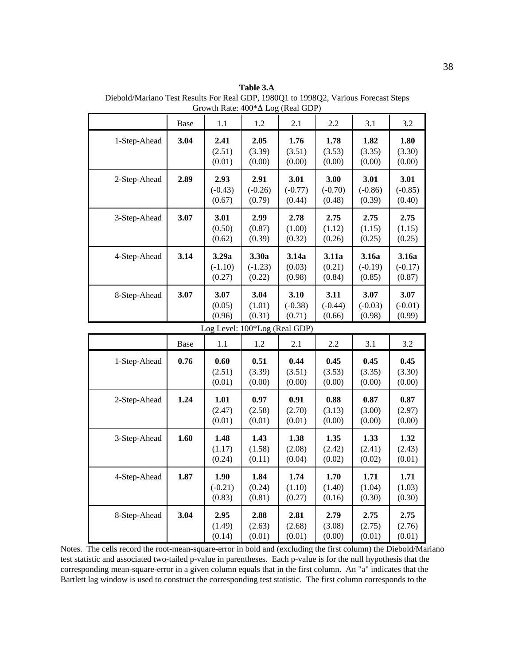**Table 3.A** Diebold/Mariano Test Results For Real GDP, 1980Q1 to 1998Q2, Various Forecast Steps Growth Rate:  $400^*$  $\Delta$  Log (Real GDP)

|              | Base        | 1.1                           | 1.2                          | 2.1                         | 2.2                         | 3.1                          | 3.2                          |
|--------------|-------------|-------------------------------|------------------------------|-----------------------------|-----------------------------|------------------------------|------------------------------|
| 1-Step-Ahead | 3.04        | 2.41<br>(2.51)<br>(0.01)      | 2.05<br>(3.39)<br>(0.00)     | 1.76<br>(3.51)<br>(0.00)    | 1.78<br>(3.53)<br>(0.00)    | 1.82<br>(3.35)<br>(0.00)     | 1.80<br>(3.30)<br>(0.00)     |
| 2-Step-Ahead | 2.89        | 2.93<br>$(-0.43)$<br>(0.67)   | 2.91<br>$(-0.26)$<br>(0.79)  | 3.01<br>$(-0.77)$<br>(0.44) | 3.00<br>$(-0.70)$<br>(0.48) | 3.01<br>$(-0.86)$<br>(0.39)  | 3.01<br>$(-0.85)$<br>(0.40)  |
| 3-Step-Ahead | 3.07        | 3.01<br>(0.50)<br>(0.62)      | 2.99<br>(0.87)<br>(0.39)     | 2.78<br>(1.00)<br>(0.32)    | 2.75<br>(1.12)<br>(0.26)    | 2.75<br>(1.15)<br>(0.25)     | 2.75<br>(1.15)<br>(0.25)     |
| 4-Step-Ahead | 3.14        | 3.29a<br>$(-1.10)$<br>(0.27)  | 3.30a<br>$(-1.23)$<br>(0.22) | 3.14a<br>(0.03)<br>(0.98)   | 3.11a<br>(0.21)<br>(0.84)   | 3.16a<br>$(-0.19)$<br>(0.85) | 3.16a<br>$(-0.17)$<br>(0.87) |
| 8-Step-Ahead | 3.07        | 3.07<br>(0.05)<br>(0.96)      | 3.04<br>(1.01)<br>(0.31)     | 3.10<br>$(-0.38)$<br>(0.71) | 3.11<br>$(-0.44)$<br>(0.66) | 3.07<br>$(-0.03)$<br>(0.98)  | 3.07<br>$(-0.01)$<br>(0.99)  |
|              |             | Log Level: 100*Log (Real GDP) |                              |                             |                             |                              |                              |
|              | <b>Base</b> | 1.1                           | 1.2                          | 2.1                         | 2.2                         | 3.1                          | 3.2                          |
| 1-Step-Ahead | 0.76        | 0.60<br>(2.51)<br>(0.01)      | 0.51<br>(3.39)<br>(0.00)     | 0.44<br>(3.51)<br>(0.00)    | 0.45<br>(3.53)<br>(0.00)    | 0.45<br>(3.35)<br>(0.00)     | 0.45<br>(3.30)<br>(0.00)     |
| 2-Step-Ahead | 1.24        | 1.01<br>(2.47)<br>(0.01)      | 0.97<br>(2.58)<br>(0.01)     | 0.91<br>(2.70)<br>(0.01)    | 0.88<br>(3.13)<br>(0.00)    | 0.87<br>(3.00)<br>(0.00)     | 0.87<br>(2.97)<br>(0.00)     |
| 3-Step-Ahead | 1.60        | 1.48<br>(1.17)<br>(0.24)      | 1.43<br>(1.58)<br>(0.11)     | 1.38<br>(2.08)<br>(0.04)    | 1.35<br>(2.42)<br>(0.02)    | 1.33<br>(2.41)<br>(0.02)     | 1.32<br>(2.43)<br>(0.01)     |
| 4-Step-Ahead | 1.87        | 1.90<br>$(-0.21)$<br>(0.83)   | 1.84<br>(0.24)<br>(0.81)     | 1.74<br>(1.10)<br>(0.27)    | 1.70<br>(1.40)<br>(0.16)    | 1.71<br>(1.04)<br>(0.30)     | 1.71<br>(1.03)<br>(0.30)     |
| 8-Step-Ahead | 3.04        | 2.95<br>(1.49)<br>(0.14)      | 2.88<br>(2.63)<br>(0.01)     | 2.81<br>(2.68)<br>(0.01)    | 2.79<br>(3.08)<br>(0.00)    | 2.75<br>(2.75)<br>(0.01)     | 2.75<br>(2.76)<br>(0.01)     |

Notes. The cells record the root-mean-square-error in bold and (excluding the first column) the Diebold/Mariano test statistic and associated two-tailed p-value in parentheses. Each p-value is for the null hypothesis that the corresponding mean-square-error in a given column equals that in the first column. An "a" indicates that the Bartlett lag window is used to construct the corresponding test statistic. The first column corresponds to the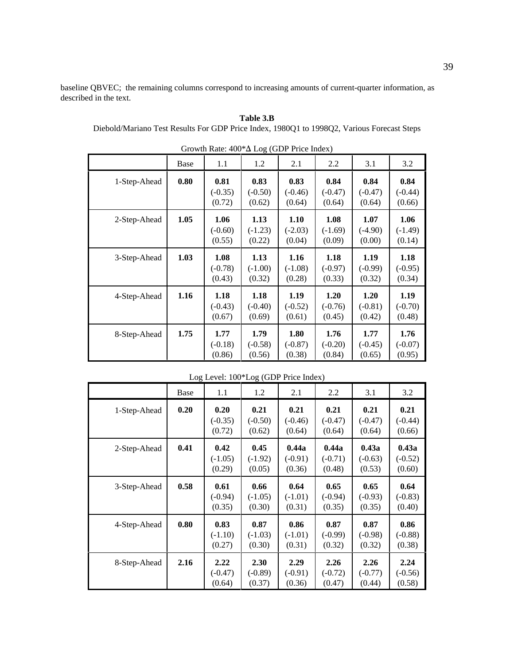baseline QBVEC; the remaining columns correspond to increasing amounts of current-quarter information, as described in the text.

| $\frac{1}{2}$ Orowan Kate. 400 $\frac{1}{2}$ Log (ODT Trice matrix) |      |                             |                             |                             |                             |                             |                             |  |  |  |  |
|---------------------------------------------------------------------|------|-----------------------------|-----------------------------|-----------------------------|-----------------------------|-----------------------------|-----------------------------|--|--|--|--|
|                                                                     | Base | 1.1                         | 1.2                         | 2.1                         | 2.2                         | 3.1                         | 3.2                         |  |  |  |  |
| 1-Step-Ahead                                                        | 0.80 | 0.81<br>$(-0.35)$<br>(0.72) | 0.83<br>$(-0.50)$<br>(0.62) | 0.83<br>$(-0.46)$<br>(0.64) | 0.84<br>$(-0.47)$<br>(0.64) | 0.84<br>$(-0.47)$<br>(0.64) | 0.84<br>$(-0.44)$<br>(0.66) |  |  |  |  |
| 2-Step-Ahead                                                        | 1.05 | 1.06<br>$(-0.60)$<br>(0.55) | 1.13<br>$(-1.23)$<br>(0.22) | 1.10<br>$(-2.03)$<br>(0.04) | 1.08<br>$(-1.69)$<br>(0.09) | 1.07<br>$(-4.90)$<br>(0.00) | 1.06<br>$(-1.49)$<br>(0.14) |  |  |  |  |
| 3-Step-Ahead                                                        | 1.03 | 1.08<br>$(-0.78)$<br>(0.43) | 1.13<br>$(-1.00)$<br>(0.32) | 1.16<br>$(-1.08)$<br>(0.28) | 1.18<br>$(-0.97)$<br>(0.33) | 1.19<br>$(-0.99)$<br>(0.32) | 1.18<br>$(-0.95)$<br>(0.34) |  |  |  |  |
| 4-Step-Ahead                                                        | 1.16 | 1.18<br>$(-0.43)$<br>(0.67) | 1.18<br>$(-0.40)$<br>(0.69) | 1.19<br>$(-0.52)$<br>(0.61) | 1.20<br>$(-0.76)$<br>(0.45) | 1.20<br>$(-0.81)$<br>(0.42) | 1.19<br>$(-0.70)$<br>(0.48) |  |  |  |  |
| 8-Step-Ahead                                                        | 1.75 | 1.77<br>$(-0.18)$<br>(0.86) | 1.79<br>$(-0.58)$<br>(0.56) | 1.80<br>$(-0.87)$<br>(0.38) | 1.76<br>$(-0.20)$<br>(0.84) | 1.77<br>$(-0.45)$<br>(0.65) | 1.76<br>$(-0.07)$<br>(0.95) |  |  |  |  |

| Growth Rate: $400^*\Delta$ Log (GDP Price Index) |  |
|--------------------------------------------------|--|
|--------------------------------------------------|--|

**Table 3.B** Diebold/Mariano Test Results For GDP Price Index, 1980Q1 to 1998Q2, Various Forecast Steps

| LOG Level: 100 <sup>*</sup> LOG (GDP Price Index) |      |                             |                             |                              |                              |                              |                              |  |  |  |  |
|---------------------------------------------------|------|-----------------------------|-----------------------------|------------------------------|------------------------------|------------------------------|------------------------------|--|--|--|--|
|                                                   | Base | 1.1                         | 1.2                         | 2.1                          | 2.2                          | 3.1                          | 3.2                          |  |  |  |  |
| 1-Step-Ahead                                      | 0.20 | 0.20<br>$(-0.35)$<br>(0.72) | 0.21<br>$(-0.50)$<br>(0.62) | 0.21<br>$(-0.46)$<br>(0.64)  | 0.21<br>$(-0.47)$<br>(0.64)  | 0.21<br>$(-0.47)$<br>(0.64)  | 0.21<br>$(-0.44)$<br>(0.66)  |  |  |  |  |
| 2-Step-Ahead                                      | 0.41 | 0.42<br>$(-1.05)$<br>(0.29) | 0.45<br>$(-1.92)$<br>(0.05) | 0.44a<br>$(-0.91)$<br>(0.36) | 0.44a<br>$(-0.71)$<br>(0.48) | 0.43a<br>$(-0.63)$<br>(0.53) | 0.43a<br>$(-0.52)$<br>(0.60) |  |  |  |  |
| 3-Step-Ahead                                      | 0.58 | 0.61<br>$(-0.94)$<br>(0.35) | 0.66<br>$(-1.05)$<br>(0.30) | 0.64<br>$(-1.01)$<br>(0.31)  | 0.65<br>$(-0.94)$<br>(0.35)  | 0.65<br>$(-0.93)$<br>(0.35)  | 0.64<br>$(-0.83)$<br>(0.40)  |  |  |  |  |
| 4-Step-Ahead                                      | 0.80 | 0.83<br>$(-1.10)$<br>(0.27) | 0.87<br>$(-1.03)$<br>(0.30) | 0.86<br>$(-1.01)$<br>(0.31)  | 0.87<br>$(-0.99)$<br>(0.32)  | 0.87<br>$(-0.98)$<br>(0.32)  | 0.86<br>$(-0.88)$<br>(0.38)  |  |  |  |  |
| 8-Step-Ahead                                      | 2.16 | 2.22<br>$(-0.47)$<br>(0.64) | 2.30<br>$(-0.89)$<br>(0.37) | 2.29<br>$(-0.91)$<br>(0.36)  | 2.26<br>$(-0.72)$<br>(0.47)  | 2.26<br>$(-0.77)$<br>(0.44)  | 2.24<br>$(-0.56)$<br>(0.58)  |  |  |  |  |

Log Lavel: 100\*Log (GDP Price Index)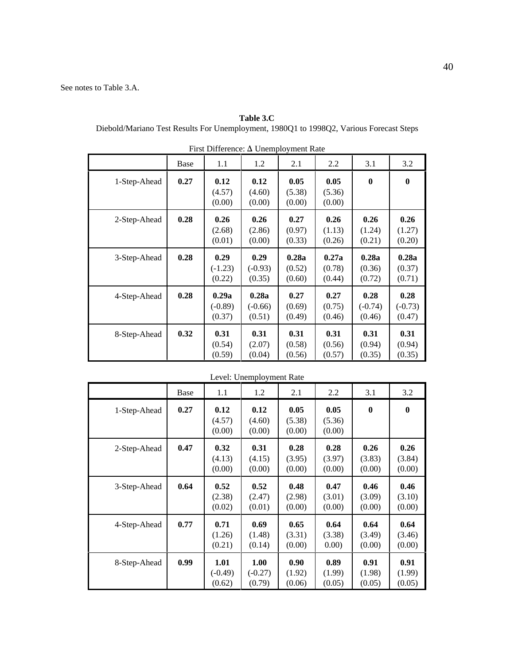| <b>Table 3.C</b>                                                                        |  |
|-----------------------------------------------------------------------------------------|--|
| Diebold/Mariano Test Results For Unemployment, 1980Q1 to 1998Q2, Various Forecast Steps |  |

|              | Base | 1.1                          | 1.2                          | 2.1                       | 2.2                       | 3.1                         | 3.2                         |
|--------------|------|------------------------------|------------------------------|---------------------------|---------------------------|-----------------------------|-----------------------------|
| 1-Step-Ahead | 0.27 | 0.12<br>(4.57)<br>(0.00)     | 0.12<br>(4.60)<br>(0.00)     | 0.05<br>(5.38)<br>(0.00)  | 0.05<br>(5.36)<br>(0.00)  | $\boldsymbol{0}$            | $\bf{0}$                    |
| 2-Step-Ahead | 0.28 | 0.26<br>(2.68)<br>(0.01)     | 0.26<br>(2.86)<br>(0.00)     | 0.27<br>(0.97)<br>(0.33)  | 0.26<br>(1.13)<br>(0.26)  | 0.26<br>(1.24)<br>(0.21)    | 0.26<br>(1.27)<br>(0.20)    |
| 3-Step-Ahead | 0.28 | 0.29<br>$(-1.23)$<br>(0.22)  | 0.29<br>$(-0.93)$<br>(0.35)  | 0.28a<br>(0.52)<br>(0.60) | 0.27a<br>(0.78)<br>(0.44) | 0.28a<br>(0.36)<br>(0.72)   | 0.28a<br>(0.37)<br>(0.71)   |
| 4-Step-Ahead | 0.28 | 0.29a<br>$(-0.89)$<br>(0.37) | 0.28a<br>$(-0.66)$<br>(0.51) | 0.27<br>(0.69)<br>(0.49)  | 0.27<br>(0.75)<br>(0.46)  | 0.28<br>$(-0.74)$<br>(0.46) | 0.28<br>$(-0.73)$<br>(0.47) |
| 8-Step-Ahead | 0.32 | 0.31<br>(0.54)<br>(0.59)     | 0.31<br>(2.07)<br>(0.04)     | 0.31<br>(0.58)<br>(0.56)  | 0.31<br>(0.56)<br>(0.57)  | 0.31<br>(0.94)<br>(0.35)    | 0.31<br>(0.94)<br>(0.35)    |

| First Difference: $\Delta$ Unemployment Rate |  |  |  |
|----------------------------------------------|--|--|--|
|                                              |  |  |  |

| Level: Unemployment Rate |      |                             |                             |                          |                          |                          |                          |  |  |
|--------------------------|------|-----------------------------|-----------------------------|--------------------------|--------------------------|--------------------------|--------------------------|--|--|
|                          | Base | 1.1                         | 1.2                         | 2.1                      | 2.2                      | 3.1                      | 3.2                      |  |  |
| 1-Step-Ahead             | 0.27 | 0.12<br>(4.57)<br>(0.00)    | 0.12<br>(4.60)<br>(0.00)    | 0.05<br>(5.38)<br>(0.00) | 0.05<br>(5.36)<br>(0.00) | $\bf{0}$                 | $\mathbf{0}$             |  |  |
| 2-Step-Ahead             | 0.47 | 0.32<br>(4.13)<br>(0.00)    | 0.31<br>(4.15)<br>(0.00)    | 0.28<br>(3.95)<br>(0.00) | 0.28<br>(3.97)<br>(0.00) | 0.26<br>(3.83)<br>(0.00) | 0.26<br>(3.84)<br>(0.00) |  |  |
| 3-Step-Ahead             | 0.64 | 0.52<br>(2.38)<br>(0.02)    | 0.52<br>(2.47)<br>(0.01)    | 0.48<br>(2.98)<br>(0.00) | 0.47<br>(3.01)<br>(0.00) | 0.46<br>(3.09)<br>(0.00) | 0.46<br>(3.10)<br>(0.00) |  |  |
| 4-Step-Ahead             | 0.77 | 0.71<br>(1.26)<br>(0.21)    | 0.69<br>(1.48)<br>(0.14)    | 0.65<br>(3.31)<br>(0.00) | 0.64<br>(3.38)<br>(0.00) | 0.64<br>(3.49)<br>(0.00) | 0.64<br>(3.46)<br>(0.00) |  |  |
| 8-Step-Ahead             | 0.99 | 1.01<br>$(-0.49)$<br>(0.62) | 1.00<br>$(-0.27)$<br>(0.79) | 0.90<br>(1.92)<br>(0.06) | 0.89<br>(1.99)<br>(0.05) | 0.91<br>(1.98)<br>(0.05) | 0.91<br>(1.99)<br>(0.05) |  |  |

40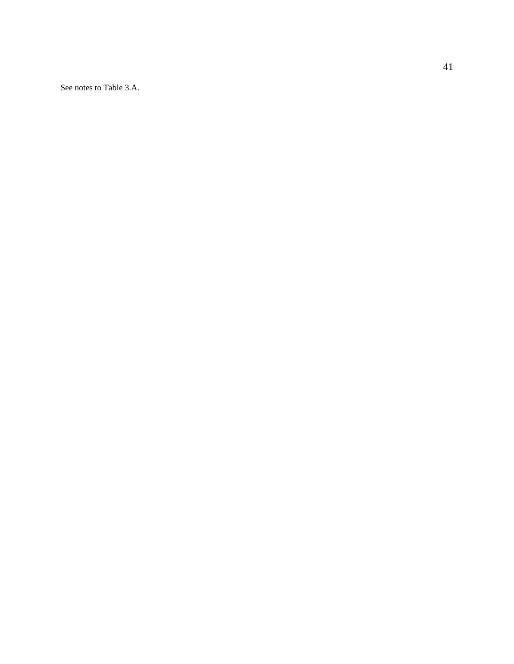See notes to Table 3.A.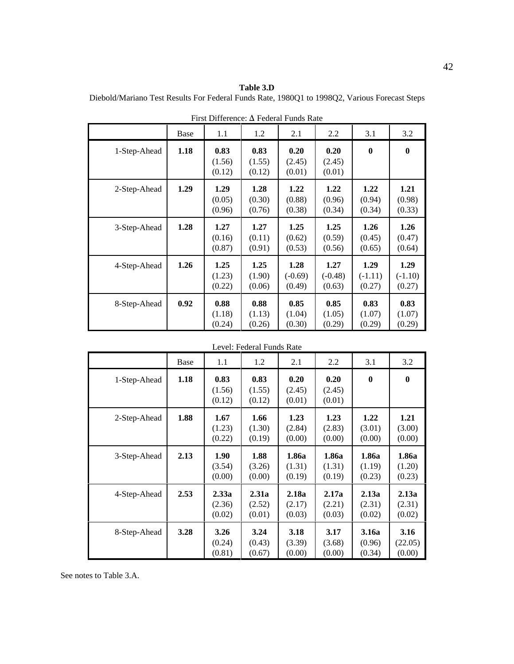**Table 3.D** Diebold/Mariano Test Results For Federal Funds Rate, 1980Q1 to 1998Q2, Various Forecast Steps

|              | Base | 1.1                      | 1.2                      | 2.1                         | 2.2                         | 3.1                         | 3.2                         |
|--------------|------|--------------------------|--------------------------|-----------------------------|-----------------------------|-----------------------------|-----------------------------|
| 1-Step-Ahead | 1.18 | 0.83<br>(1.56)<br>(0.12) | 0.83<br>(1.55)<br>(0.12) | 0.20<br>(2.45)<br>(0.01)    | 0.20<br>(2.45)<br>(0.01)    | $\bf{0}$                    | $\bf{0}$                    |
| 2-Step-Ahead | 1.29 | 1.29<br>(0.05)<br>(0.96) | 1.28<br>(0.30)<br>(0.76) | 1.22<br>(0.88)<br>(0.38)    | 1.22<br>(0.96)<br>(0.34)    | 1.22<br>(0.94)<br>(0.34)    | 1.21<br>(0.98)<br>(0.33)    |
| 3-Step-Ahead | 1.28 | 1.27<br>(0.16)<br>(0.87) | 1.27<br>(0.11)<br>(0.91) | 1.25<br>(0.62)<br>(0.53)    | 1.25<br>(0.59)<br>(0.56)    | 1.26<br>(0.45)<br>(0.65)    | 1.26<br>(0.47)<br>(0.64)    |
| 4-Step-Ahead | 1.26 | 1.25<br>(1.23)<br>(0.22) | 1.25<br>(1.90)<br>(0.06) | 1.28<br>$(-0.69)$<br>(0.49) | 1.27<br>$(-0.48)$<br>(0.63) | 1.29<br>$(-1.11)$<br>(0.27) | 1.29<br>$(-1.10)$<br>(0.27) |
| 8-Step-Ahead | 0.92 | 0.88<br>(1.18)<br>(0.24) | 0.88<br>(1.13)<br>(0.26) | 0.85<br>(1.04)<br>(0.30)    | 0.85<br>(1.05)<br>(0.29)    | 0.83<br>(1.07)<br>(0.29)    | 0.83<br>(1.07)<br>(0.29)    |

First Difference:  $\Delta$  Federal Funds Rate

| Level: Federal Funds Rate |      |                           |                           |                           |                           |                           |                           |
|---------------------------|------|---------------------------|---------------------------|---------------------------|---------------------------|---------------------------|---------------------------|
|                           | Base | 1.1                       | 1.2                       | 2.1                       | 2.2                       | 3.1                       | 3.2                       |
| 1-Step-Ahead              | 1.18 | 0.83<br>(1.56)<br>(0.12)  | 0.83<br>(1.55)<br>(0.12)  | 0.20<br>(2.45)<br>(0.01)  | 0.20<br>(2.45)<br>(0.01)  | $\bf{0}$                  | $\boldsymbol{0}$          |
| 2-Step-Ahead              | 1.88 | 1.67<br>(1.23)<br>(0.22)  | 1.66<br>(1.30)<br>(0.19)  | 1.23<br>(2.84)<br>(0.00)  | 1.23<br>(2.83)<br>(0.00)  | 1.22<br>(3.01)<br>(0.00)  | 1.21<br>(3.00)<br>(0.00)  |
| 3-Step-Ahead              | 2.13 | 1.90<br>(3.54)<br>(0.00)  | 1.88<br>(3.26)<br>(0.00)  | 1.86a<br>(1.31)<br>(0.19) | 1.86a<br>(1.31)<br>(0.19) | 1.86a<br>(1.19)<br>(0.23) | 1.86a<br>(1.20)<br>(0.23) |
| 4-Step-Ahead              | 2.53 | 2.33a<br>(2.36)<br>(0.02) | 2.31a<br>(2.52)<br>(0.01) | 2.18a<br>(2.17)<br>(0.03) | 2.17a<br>(2.21)<br>(0.03) | 2.13a<br>(2.31)<br>(0.02) | 2.13a<br>(2.31)<br>(0.02) |
| 8-Step-Ahead              | 3.28 | 3.26<br>(0.24)<br>(0.81)  | 3.24<br>(0.43)<br>(0.67)  | 3.18<br>(3.39)<br>(0.00)  | 3.17<br>(3.68)<br>(0.00)  | 3.16a<br>(0.96)<br>(0.34) | 3.16<br>(22.05)<br>(0.00) |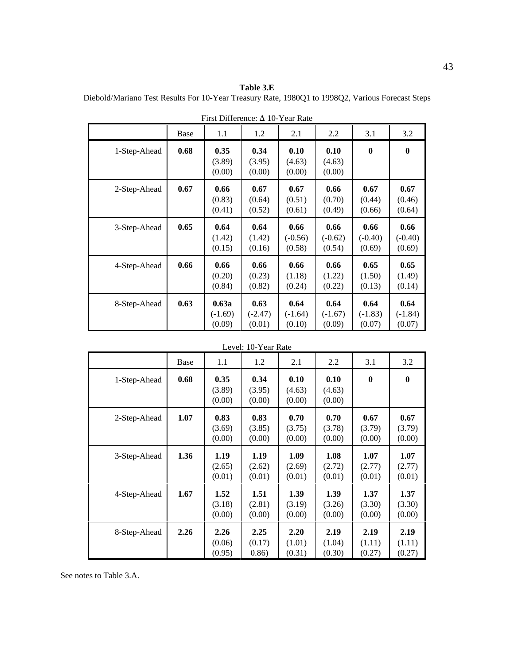**Table 3.E** Diebold/Mariano Test Results For 10-Year Treasury Rate, 1980Q1 to 1998Q2, Various Forecast Steps

|              | Base | 1.1                          | 1.2                         | 2.1                         | 2.2                         | 3.1                         | 3.2                         |
|--------------|------|------------------------------|-----------------------------|-----------------------------|-----------------------------|-----------------------------|-----------------------------|
| 1-Step-Ahead | 0.68 | 0.35<br>(3.89)<br>(0.00)     | 0.34<br>(3.95)<br>(0.00)    | 0.10<br>(4.63)<br>(0.00)    | 0.10<br>(4.63)<br>(0.00)    | $\boldsymbol{0}$            | $\boldsymbol{0}$            |
| 2-Step-Ahead | 0.67 | 0.66<br>(0.83)<br>(0.41)     | 0.67<br>(0.64)<br>(0.52)    | 0.67<br>(0.51)<br>(0.61)    | 0.66<br>(0.70)<br>(0.49)    | 0.67<br>(0.44)<br>(0.66)    | 0.67<br>(0.46)<br>(0.64)    |
| 3-Step-Ahead | 0.65 | 0.64<br>(1.42)<br>(0.15)     | 0.64<br>(1.42)<br>(0.16)    | 0.66<br>$(-0.56)$<br>(0.58) | 0.66<br>$(-0.62)$<br>(0.54) | 0.66<br>$(-0.40)$<br>(0.69) | 0.66<br>$(-0.40)$<br>(0.69) |
| 4-Step-Ahead | 0.66 | 0.66<br>(0.20)<br>(0.84)     | 0.66<br>(0.23)<br>(0.82)    | 0.66<br>(1.18)<br>(0.24)    | 0.66<br>(1.22)<br>(0.22)    | 0.65<br>(1.50)<br>(0.13)    | 0.65<br>(1.49)<br>(0.14)    |
| 8-Step-Ahead | 0.63 | 0.63a<br>$(-1.69)$<br>(0.09) | 0.63<br>$(-2.47)$<br>(0.01) | 0.64<br>$(-1.64)$<br>(0.10) | 0.64<br>$(-1.67)$<br>(0.09) | 0.64<br>$(-1.83)$<br>(0.07) | 0.64<br>$(-1.84)$<br>(0.07) |

First Difference:  $\Delta$  10-Year Rate

|              |      |                          | Level: 10-Year Rate      |                          |                          |                          |                          |
|--------------|------|--------------------------|--------------------------|--------------------------|--------------------------|--------------------------|--------------------------|
|              | Base | 1.1                      | 1.2                      | 2.1                      | 2.2                      | 3.1                      | 3.2                      |
| 1-Step-Ahead | 0.68 | 0.35<br>(3.89)<br>(0.00) | 0.34<br>(3.95)<br>(0.00) | 0.10<br>(4.63)<br>(0.00) | 0.10<br>(4.63)<br>(0.00) | $\bf{0}$                 | $\mathbf 0$              |
| 2-Step-Ahead | 1.07 | 0.83<br>(3.69)<br>(0.00) | 0.83<br>(3.85)<br>(0.00) | 0.70<br>(3.75)<br>(0.00) | 0.70<br>(3.78)<br>(0.00) | 0.67<br>(3.79)<br>(0.00) | 0.67<br>(3.79)<br>(0.00) |
| 3-Step-Ahead | 1.36 | 1.19<br>(2.65)<br>(0.01) | 1.19<br>(2.62)<br>(0.01) | 1.09<br>(2.69)<br>(0.01) | 1.08<br>(2.72)<br>(0.01) | 1.07<br>(2.77)<br>(0.01) | 1.07<br>(2.77)<br>(0.01) |
| 4-Step-Ahead | 1.67 | 1.52<br>(3.18)<br>(0.00) | 1.51<br>(2.81)<br>(0.00) | 1.39<br>(3.19)<br>(0.00) | 1.39<br>(3.26)<br>(0.00) | 1.37<br>(3.30)<br>(0.00) | 1.37<br>(3.30)<br>(0.00) |
| 8-Step-Ahead | 2.26 | 2.26<br>(0.06)<br>(0.95) | 2.25<br>(0.17)<br>(0.86) | 2.20<br>(1.01)<br>(0.31) | 2.19<br>(1.04)<br>(0.30) | 2.19<br>(1.11)<br>(0.27) | 2.19<br>(1.11)<br>(0.27) |

See notes to Table 3.A.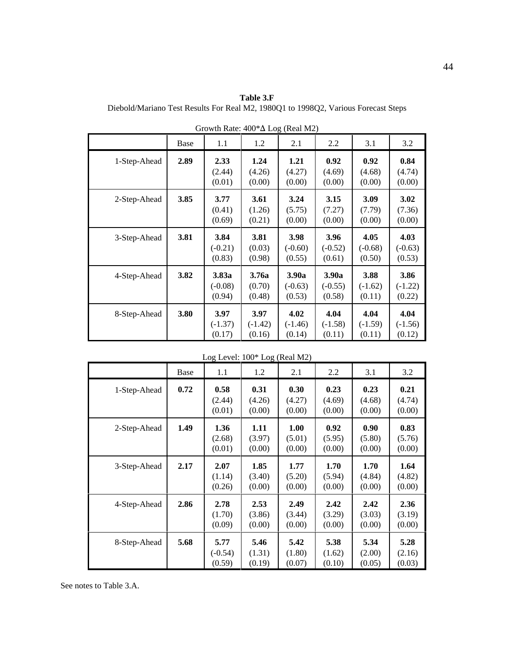**Table 3.F** Diebold/Mariano Test Results For Real M2, 1980Q1 to 1998Q2, Various Forecast Steps

|              | Base | 1.1                          | 1.2                         | $\circ$<br>2.1               | 2.2                          | 3.1                         | 3.2                         |
|--------------|------|------------------------------|-----------------------------|------------------------------|------------------------------|-----------------------------|-----------------------------|
| 1-Step-Ahead | 2.89 | 2.33<br>(2.44)<br>(0.01)     | 1.24<br>(4.26)<br>(0.00)    | 1.21<br>(4.27)<br>(0.00)     | 0.92<br>(4.69)<br>(0.00)     | 0.92<br>(4.68)<br>(0.00)    | 0.84<br>(4.74)<br>(0.00)    |
| 2-Step-Ahead | 3.85 | 3.77<br>(0.41)<br>(0.69)     | 3.61<br>(1.26)<br>(0.21)    | 3.24<br>(5.75)<br>(0.00)     | 3.15<br>(7.27)<br>(0.00)     | 3.09<br>(7.79)<br>(0.00)    | 3.02<br>(7.36)<br>(0.00)    |
| 3-Step-Ahead | 3.81 | 3.84<br>$(-0.21)$<br>(0.83)  | 3.81<br>(0.03)<br>(0.98)    | 3.98<br>$(-0.60)$<br>(0.55)  | 3.96<br>$(-0.52)$<br>(0.61)  | 4.05<br>$(-0.68)$<br>(0.50) | 4.03<br>$(-0.63)$<br>(0.53) |
| 4-Step-Ahead | 3.82 | 3.83a<br>$(-0.08)$<br>(0.94) | 3.76a<br>(0.70)<br>(0.48)   | 3.90a<br>$(-0.63)$<br>(0.53) | 3.90a<br>$(-0.55)$<br>(0.58) | 3.88<br>$(-1.62)$<br>(0.11) | 3.86<br>$(-1.22)$<br>(0.22) |
| 8-Step-Ahead | 3.80 | 3.97<br>$(-1.37)$<br>(0.17)  | 3.97<br>$(-1.42)$<br>(0.16) | 4.02<br>$(-1.46)$<br>(0.14)  | 4.04<br>$(-1.58)$<br>(0.11)  | 4.04<br>$(-1.59)$<br>(0.11) | 4.04<br>$(-1.56)$<br>(0.12) |

Growth Rate:  $400^* \Delta$  Log (Real M2)

| LOG Level: TOO" LOG (Real MZ) |      |                             |                          |                          |                          |                          |                          |  |  |
|-------------------------------|------|-----------------------------|--------------------------|--------------------------|--------------------------|--------------------------|--------------------------|--|--|
|                               | Base | 1.1                         | 1.2                      | 2.1                      | 2.2                      | 3.1                      | 3.2                      |  |  |
| 1-Step-Ahead                  | 0.72 | 0.58<br>(2.44)<br>(0.01)    | 0.31<br>(4.26)<br>(0.00) | 0.30<br>(4.27)<br>(0.00) | 0.23<br>(4.69)<br>(0.00) | 0.23<br>(4.68)<br>(0.00) | 0.21<br>(4.74)<br>(0.00) |  |  |
| 2-Step-Ahead                  | 1.49 | 1.36<br>(2.68)<br>(0.01)    | 1.11<br>(3.97)<br>(0.00) | 1.00<br>(5.01)<br>(0.00) | 0.92<br>(5.95)<br>(0.00) | 0.90<br>(5.80)<br>(0.00) | 0.83<br>(5.76)<br>(0.00) |  |  |
| 3-Step-Ahead                  | 2.17 | 2.07<br>(1.14)<br>(0.26)    | 1.85<br>(3.40)<br>(0.00) | 1.77<br>(5.20)<br>(0.00) | 1.70<br>(5.94)<br>(0.00) | 1.70<br>(4.84)<br>(0.00) | 1.64<br>(4.82)<br>(0.00) |  |  |
| 4-Step-Ahead                  | 2.86 | 2.78<br>(1.70)<br>(0.09)    | 2.53<br>(3.86)<br>(0.00) | 2.49<br>(3.44)<br>(0.00) | 2.42<br>(3.29)<br>(0.00) | 2.42<br>(3.03)<br>(0.00) | 2.36<br>(3.19)<br>(0.00) |  |  |
| 8-Step-Ahead                  | 5.68 | 5.77<br>$(-0.54)$<br>(0.59) | 5.46<br>(1.31)<br>(0.19) | 5.42<br>(1.80)<br>(0.07) | 5.38<br>(1.62)<br>(0.10) | 5.34<br>(2.00)<br>(0.05) | 5.28<br>(2.16)<br>(0.03) |  |  |

Log Level:  $100*$  Log (Real M2)

See notes to Table 3.A.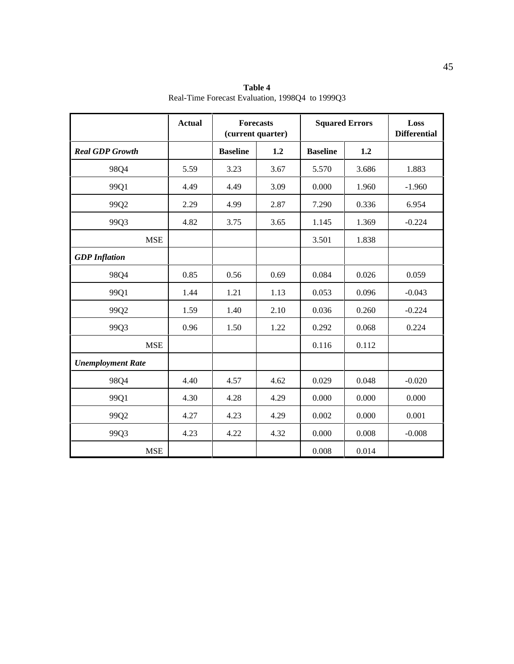|                          | <b>Actual</b> | <b>Forecasts</b><br>(current quarter) |      | <b>Squared Errors</b> | Loss<br><b>Differential</b> |          |
|--------------------------|---------------|---------------------------------------|------|-----------------------|-----------------------------|----------|
| <b>Real GDP Growth</b>   |               | <b>Baseline</b>                       | 1.2  | <b>Baseline</b>       | 1.2                         |          |
| 98Q4                     | 5.59          | 3.23                                  | 3.67 | 5.570                 | 3.686                       | 1.883    |
| 99Q1                     | 4.49          | 4.49                                  | 3.09 | 0.000                 | 1.960                       | $-1.960$ |
| 99Q2                     | 2.29          | 4.99                                  | 2.87 | 7.290                 | 0.336                       | 6.954    |
| 99Q3                     | 4.82          | 3.75                                  | 3.65 | 1.145                 | 1.369                       | $-0.224$ |
| <b>MSE</b>               |               |                                       |      | 3.501                 | 1.838                       |          |
| <b>GDP</b> Inflation     |               |                                       |      |                       |                             |          |
| 98Q4                     | 0.85          | 0.56                                  | 0.69 | 0.084                 | 0.026                       | 0.059    |
| 99Q1                     | 1.44          | 1.21                                  | 1.13 | 0.053                 | 0.096                       | $-0.043$ |
| 99Q2                     | 1.59          | 1.40                                  | 2.10 | 0.036                 | 0.260                       | $-0.224$ |
| 99Q3                     | 0.96          | 1.50                                  | 1.22 | 0.292                 | 0.068                       | 0.224    |
| <b>MSE</b>               |               |                                       |      | 0.116                 | 0.112                       |          |
| <b>Unemployment Rate</b> |               |                                       |      |                       |                             |          |
| 98Q4                     | 4.40          | 4.57                                  | 4.62 | 0.029                 | 0.048                       | $-0.020$ |
| 99Q1                     | 4.30          | 4.28                                  | 4.29 | 0.000                 | 0.000                       | 0.000    |
| 99Q2                     | 4.27          | 4.23                                  | 4.29 | 0.002                 | 0.000                       | 0.001    |
| 99Q3                     | 4.23          | 4.22                                  | 4.32 | 0.000                 | 0.008                       | $-0.008$ |
| <b>MSE</b>               |               |                                       |      | 0.008                 | 0.014                       |          |

**Table 4** Real-Time Forecast Evaluation, 1998Q4 to 1999Q3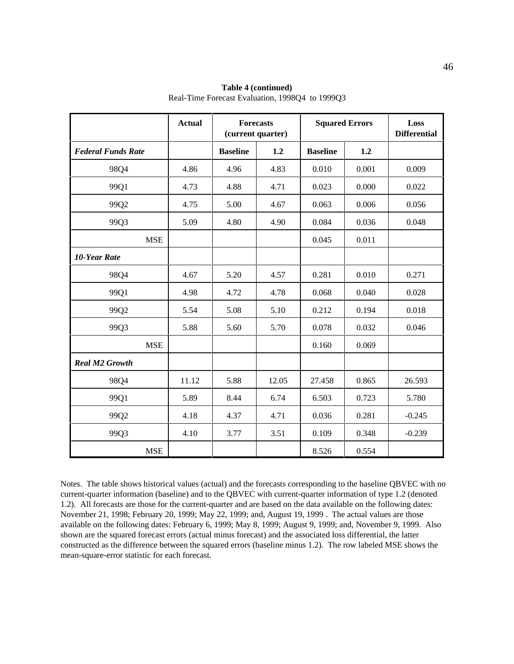|                           | <b>Actual</b> |                 | <b>Forecasts</b><br>(current quarter) |                 | <b>Squared Errors</b> | Loss<br><b>Differential</b> |
|---------------------------|---------------|-----------------|---------------------------------------|-----------------|-----------------------|-----------------------------|
| <b>Federal Funds Rate</b> |               | <b>Baseline</b> | 1.2                                   | <b>Baseline</b> | 1.2                   |                             |
| 98Q4                      | 4.86          | 4.96            | 4.83                                  | 0.010           | 0.001                 | 0.009                       |
| 99Q1                      | 4.73          | 4.88            | 4.71                                  | 0.023           | 0.000                 | 0.022                       |
| 99Q2                      | 4.75          | 5.00            | 4.67                                  | 0.063           | 0.006                 | 0.056                       |
| 99Q3                      | 5.09          | 4.80            | 4.90                                  | 0.084           | 0.036                 | 0.048                       |
| <b>MSE</b>                |               |                 |                                       | 0.045           | 0.011                 |                             |
| <b>10-Year Rate</b>       |               |                 |                                       |                 |                       |                             |
| 98Q4                      | 4.67          | 5.20            | 4.57                                  | 0.281           | 0.010                 | 0.271                       |
| 99Q1                      | 4.98          | 4.72            | 4.78                                  | 0.068           | 0.040                 | 0.028                       |
| 99Q2                      | 5.54          | 5.08            | 5.10                                  | 0.212           | 0.194                 | 0.018                       |
| 99Q3                      | 5.88          | 5.60            | 5.70                                  | 0.078           | 0.032                 | 0.046                       |
| <b>MSE</b>                |               |                 |                                       | 0.160           | 0.069                 |                             |
| <b>Real M2 Growth</b>     |               |                 |                                       |                 |                       |                             |
| 98Q4                      | 11.12         | 5.88            | 12.05                                 | 27.458          | 0.865                 | 26.593                      |
| 99Q1                      | 5.89          | 8.44            | 6.74                                  | 6.503           | 0.723                 | 5.780                       |
| 99Q2                      | 4.18          | 4.37            | 4.71                                  | 0.036           | 0.281                 | $-0.245$                    |
| 99Q3                      | 4.10          | 3.77            | 3.51                                  | 0.109           | 0.348                 | $-0.239$                    |
| <b>MSE</b>                |               |                 |                                       | 8.526           | 0.554                 |                             |

**Table 4 (continued)** Real-Time Forecast Evaluation, 1998Q4 to 1999Q3

Notes. The table shows historical values (actual) and the forecasts corresponding to the baseline QBVEC with no current-quarter information (baseline) and to the QBVEC with current-quarter information of type 1.2 (denoted 1.2). All forecasts are those for the current-quarter and are based on the data available on the following dates: November 21, 1998; February 20, 1999; May 22, 1999; and, August 19, 1999 . The actual values are those available on the following dates: February 6, 1999; May 8, 1999; August 9, 1999; and, November 9, 1999. Also shown are the squared forecast errors (actual minus forecast) and the associated loss differential, the latter constructed as the difference between the squared errors (baseline minus 1.2). The row labeled MSE shows the mean-square-error statistic for each forecast.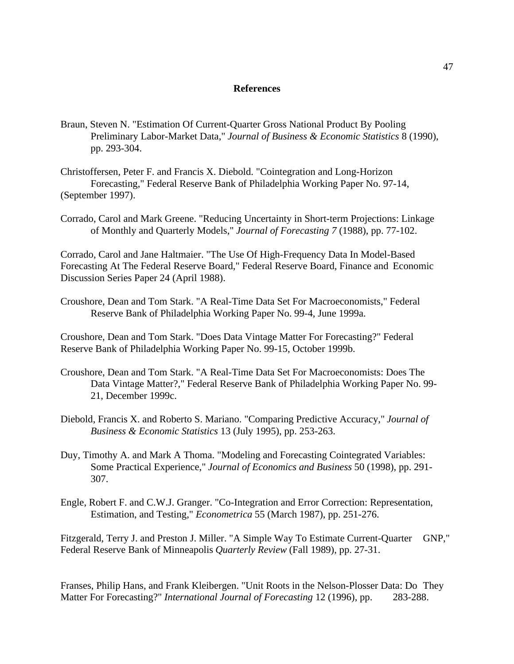### **References**

- Braun, Steven N. "Estimation Of Current-Quarter Gross National Product By Pooling Preliminary Labor-Market Data," *Journal of Business & Economic Statistics* 8 (1990), pp. 293-304.
- Christoffersen, Peter F. and Francis X. Diebold. "Cointegration and Long-Horizon Forecasting," Federal Reserve Bank of Philadelphia Working Paper No. 97-14, (September 1997).
- Corrado, Carol and Mark Greene. "Reducing Uncertainty in Short-term Projections: Linkage of Monthly and Quarterly Models," *Journal of Forecasting 7* (1988), pp. 77-102.

Corrado, Carol and Jane Haltmaier. "The Use Of High-Frequency Data In Model-Based Forecasting At The Federal Reserve Board," Federal Reserve Board, Finance and Economic Discussion Series Paper 24 (April 1988).

Croushore, Dean and Tom Stark. "A Real-Time Data Set For Macroeconomists," Federal Reserve Bank of Philadelphia Working Paper No. 99-4, June 1999a.

Croushore, Dean and Tom Stark. "Does Data Vintage Matter For Forecasting?" Federal Reserve Bank of Philadelphia Working Paper No. 99-15, October 1999b.

- Croushore, Dean and Tom Stark. "A Real-Time Data Set For Macroeconomists: Does The Data Vintage Matter?," Federal Reserve Bank of Philadelphia Working Paper No. 99- 21, December 1999c.
- Diebold, Francis X. and Roberto S. Mariano. "Comparing Predictive Accuracy," *Journal of Business & Economic Statistics* 13 (July 1995), pp. 253-263.
- Duy, Timothy A. and Mark A Thoma. "Modeling and Forecasting Cointegrated Variables: Some Practical Experience," *Journal of Economics and Business* 50 (1998), pp. 291- 307.
- Engle, Robert F. and C.W.J. Granger. "Co-Integration and Error Correction: Representation, Estimation, and Testing," *Econometrica* 55 (March 1987), pp. 251-276.

Fitzgerald, Terry J. and Preston J. Miller. "A Simple Way To Estimate Current-Quarter GNP," Federal Reserve Bank of Minneapolis *Quarterly Review* (Fall 1989), pp. 27-31.

Franses, Philip Hans, and Frank Kleibergen. "Unit Roots in the Nelson-Plosser Data: Do They Matter For Forecasting?" *International Journal of Forecasting* 12 (1996), pp. 283-288.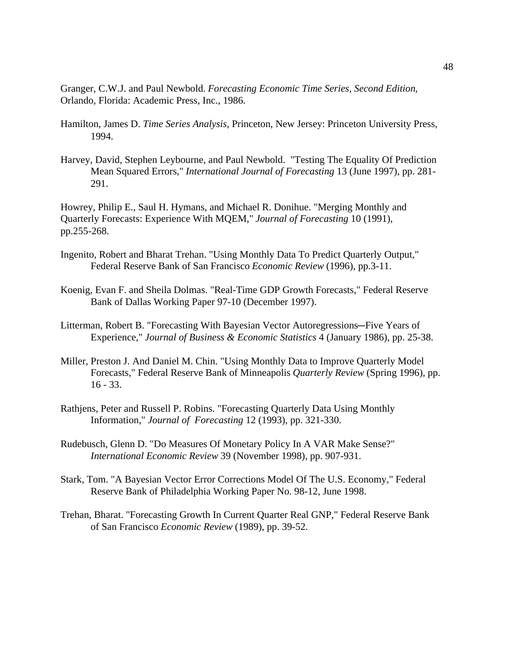Granger, C.W.J. and Paul Newbold. *Forecasting Economic Time Series, Second Edition*, Orlando, Florida: Academic Press, Inc., 1986.

- Hamilton, James D. *Time Series Analysis*, Princeton, New Jersey: Princeton University Press, 1994.
- Harvey, David, Stephen Leybourne, and Paul Newbold. "Testing The Equality Of Prediction Mean Squared Errors," *International Journal of Forecasting* 13 (June 1997), pp. 281- 291.

Howrey, Philip E., Saul H. Hymans, and Michael R. Donihue. "Merging Monthly and Quarterly Forecasts: Experience With MQEM," *Journal of Forecasting* 10 (1991), pp.255-268.

- Ingenito, Robert and Bharat Trehan. "Using Monthly Data To Predict Quarterly Output," Federal Reserve Bank of San Francisco *Economic Review* (1996), pp.3-11.
- Koenig, Evan F. and Sheila Dolmas. "Real-Time GDP Growth Forecasts," Federal Reserve Bank of Dallas Working Paper 97-10 (December 1997).
- Litterman, Robert B. "Forecasting With Bayesian Vector Autoregressions—Five Years of Experience," *Journal of Business & Economic Statistics* 4 (January 1986), pp. 25-38.
- Miller, Preston J. And Daniel M. Chin. "Using Monthly Data to Improve Quarterly Model Forecasts," Federal Reserve Bank of Minneapolis *Quarterly Review* (Spring 1996), pp. 16 - 33.
- Rathjens, Peter and Russell P. Robins. "Forecasting Quarterly Data Using Monthly Information," *Journal of Forecasting* 12 (1993), pp. 321-330.
- Rudebusch, Glenn D. "Do Measures Of Monetary Policy In A VAR Make Sense?" *International Economic Review* 39 (November 1998), pp. 907-931.
- Stark, Tom. "A Bayesian Vector Error Corrections Model Of The U.S. Economy," Federal Reserve Bank of Philadelphia Working Paper No. 98-12, June 1998.
- Trehan, Bharat. "Forecasting Growth In Current Quarter Real GNP," Federal Reserve Bank of San Francisco *Economic Review* (1989), pp. 39-52.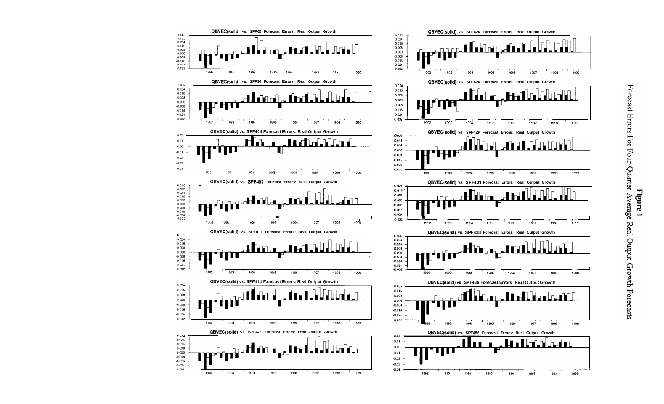

 $0.02$ 

 $0.01$ 

 $0.00$ 

 $-0.01$ 

 $-0.02$ 

 $-0.03$ 

 $-0.04$ 

 $0.024$ 

 $0.008$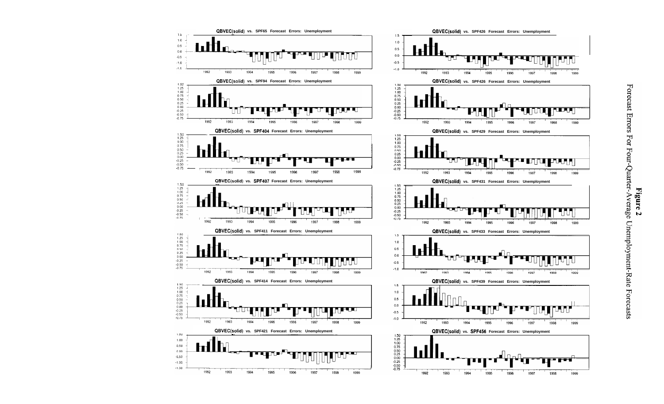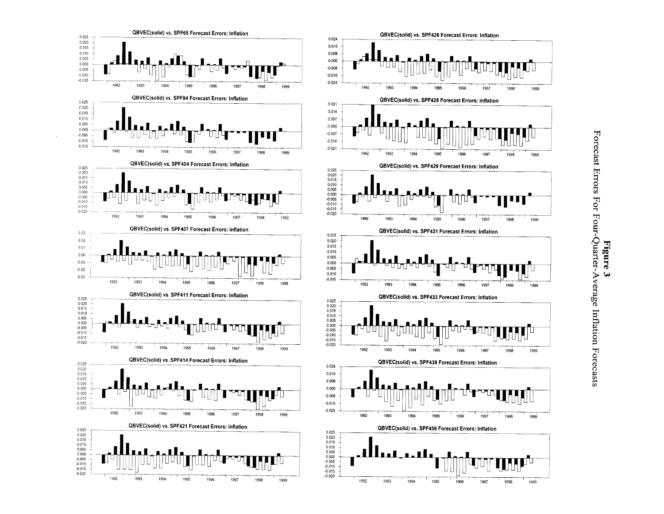

## Forecast Errors For Four-Quarter-Average Inflation Forecasts Figure  $\boldsymbol{\omega}$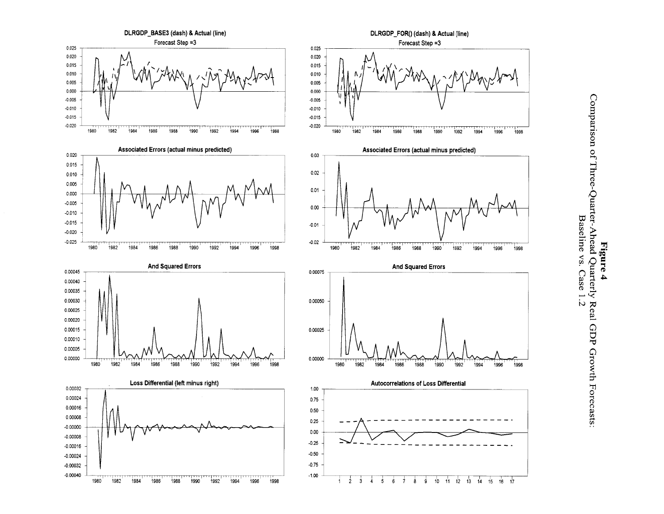

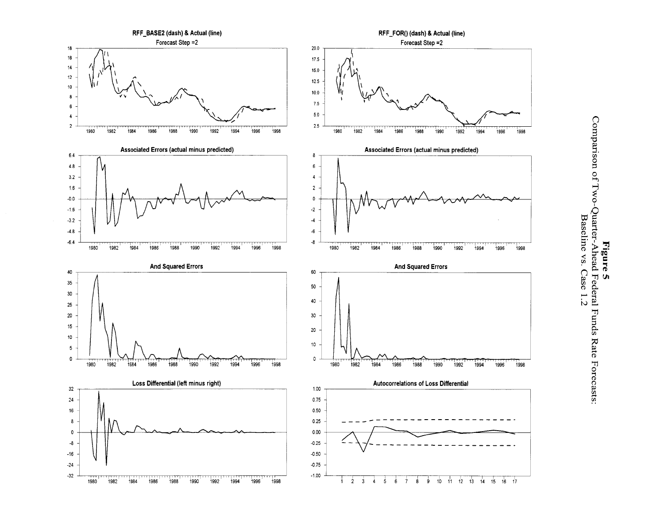

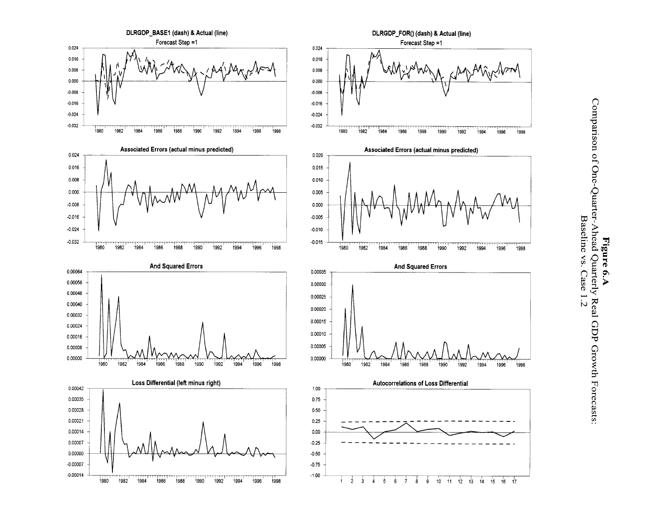

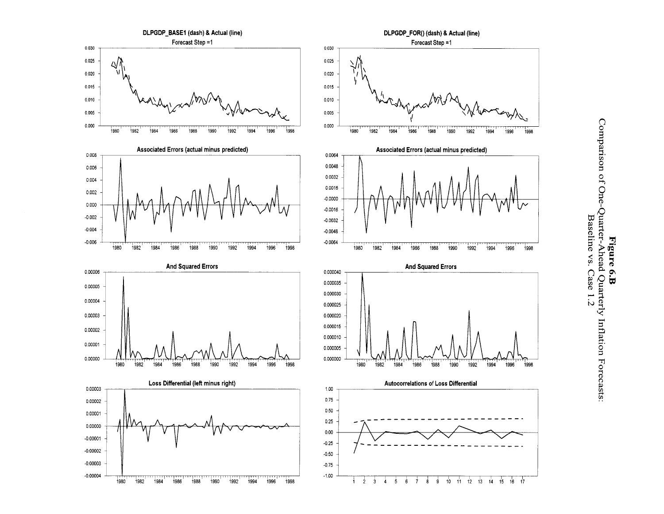

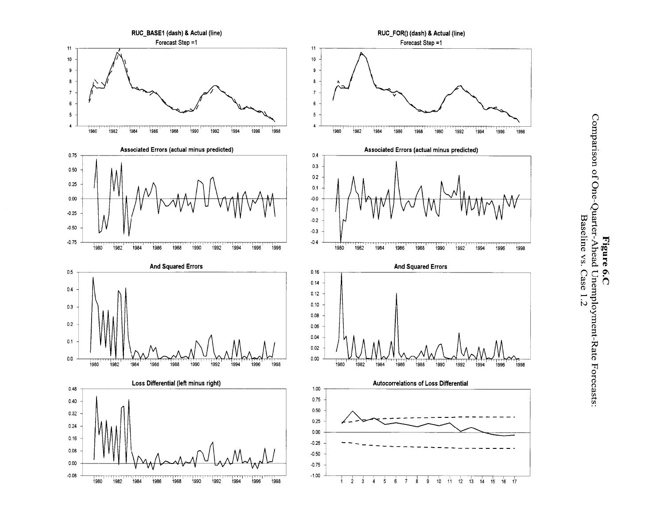

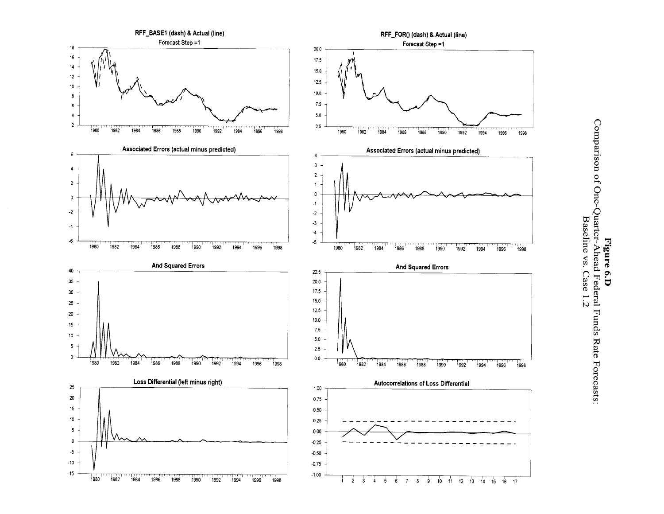

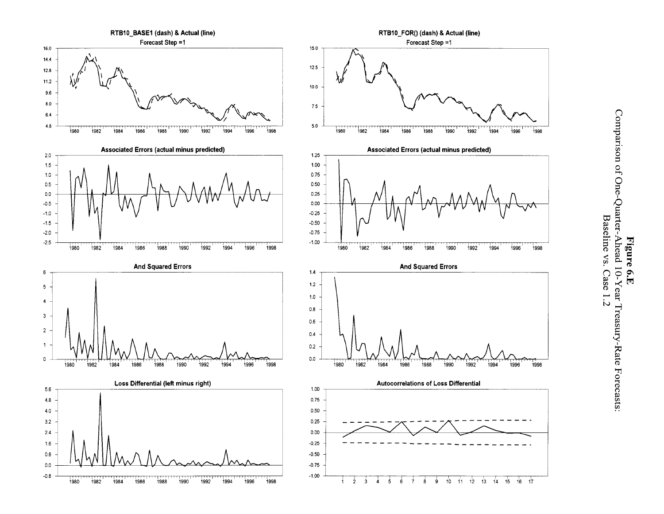